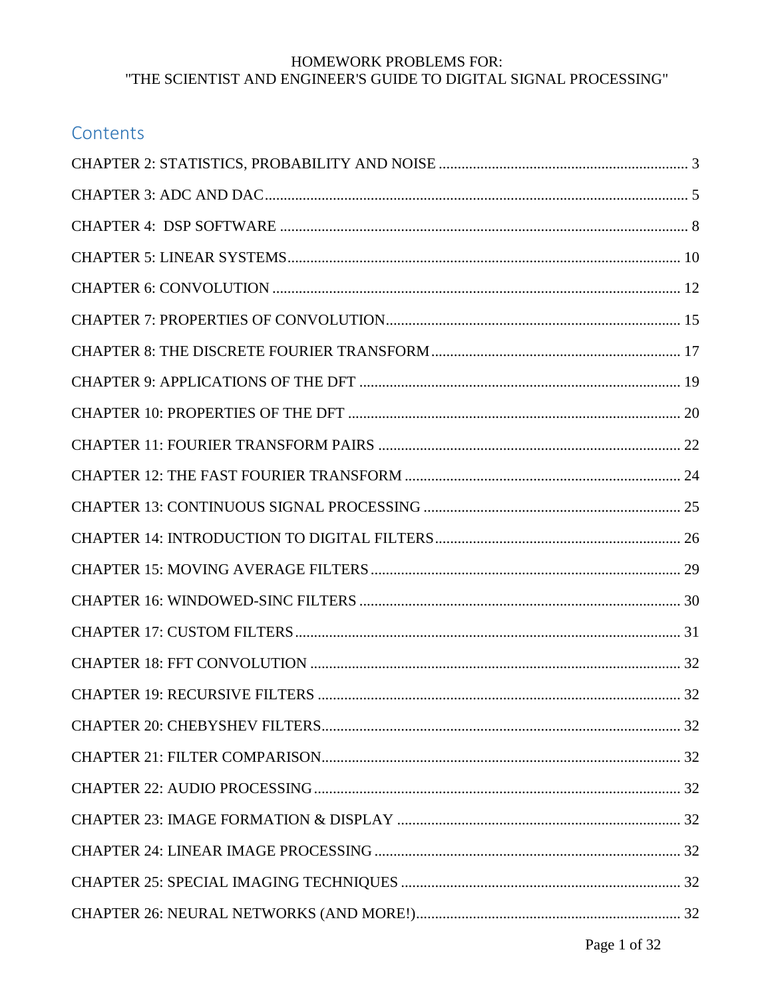| Contents |  |
|----------|--|
|          |  |
|          |  |
|          |  |
|          |  |
|          |  |
|          |  |
|          |  |
|          |  |
|          |  |
|          |  |
|          |  |
|          |  |
|          |  |
|          |  |
|          |  |
|          |  |
|          |  |
|          |  |
|          |  |
|          |  |
|          |  |
|          |  |
|          |  |
|          |  |
|          |  |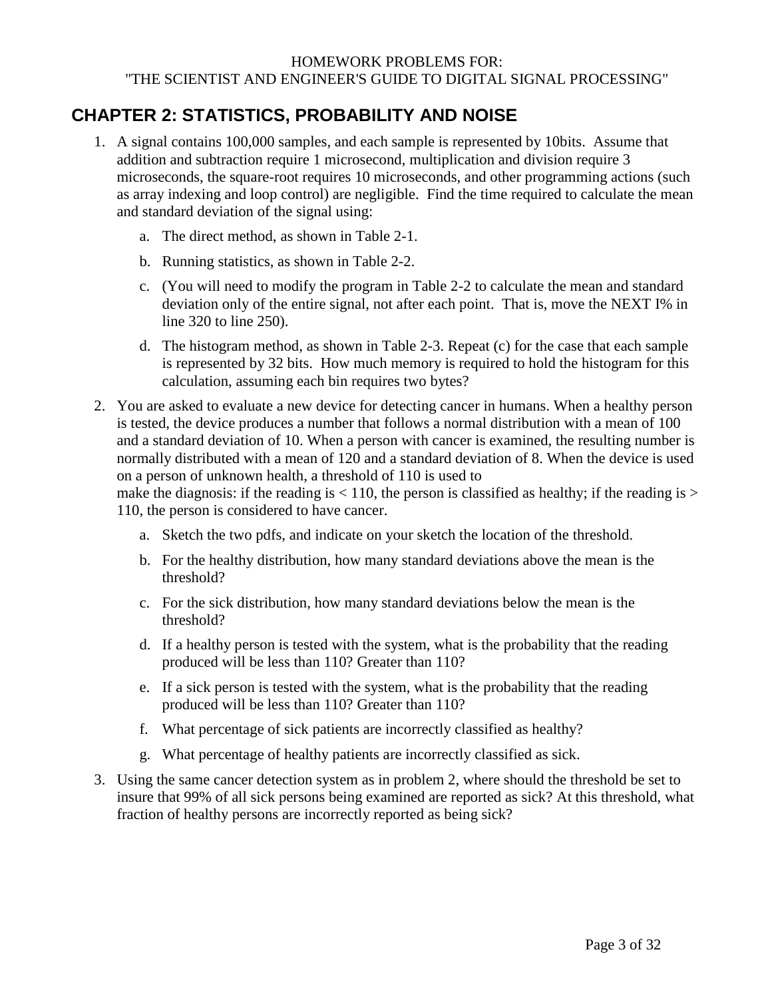## <span id="page-2-0"></span>**CHAPTER 2: STATISTICS, PROBABILITY AND NOISE**

- 1. A signal contains 100,000 samples, and each sample is represented by 10bits. Assume that addition and subtraction require 1 microsecond, multiplication and division require 3 microseconds, the square-root requires 10 microseconds, and other programming actions (such as array indexing and loop control) are negligible. Find the time required to calculate the mean and standard deviation of the signal using:
	- a. The direct method, as shown in Table 2-1.
	- b. Running statistics, as shown in Table 2-2.
	- c. (You will need to modify the program in Table 2-2 to calculate the mean and standard deviation only of the entire signal, not after each point. That is, move the NEXT I% in line 320 to line 250).
	- d. The histogram method, as shown in Table 2-3. Repeat (c) for the case that each sample is represented by 32 bits. How much memory is required to hold the histogram for this calculation, assuming each bin requires two bytes?
- 2. You are asked to evaluate a new device for detecting cancer in humans. When a healthy person is tested, the device produces a number that follows a normal distribution with a mean of 100 and a standard deviation of 10. When a person with cancer is examined, the resulting number is normally distributed with a mean of 120 and a standard deviation of 8. When the device is used on a person of unknown health, a threshold of 110 is used to

make the diagnosis: if the reading is  $< 110$ , the person is classified as healthy; if the reading is  $>$ 110, the person is considered to have cancer.

- a. Sketch the two pdfs, and indicate on your sketch the location of the threshold.
- b. For the healthy distribution, how many standard deviations above the mean is the threshold?
- c. For the sick distribution, how many standard deviations below the mean is the threshold?
- d. If a healthy person is tested with the system, what is the probability that the reading produced will be less than 110? Greater than 110?
- e. If a sick person is tested with the system, what is the probability that the reading produced will be less than 110? Greater than 110?
- f. What percentage of sick patients are incorrectly classified as healthy?
- g. What percentage of healthy patients are incorrectly classified as sick.
- 3. Using the same cancer detection system as in problem 2, where should the threshold be set to insure that 99% of all sick persons being examined are reported as sick? At this threshold, what fraction of healthy persons are incorrectly reported as being sick?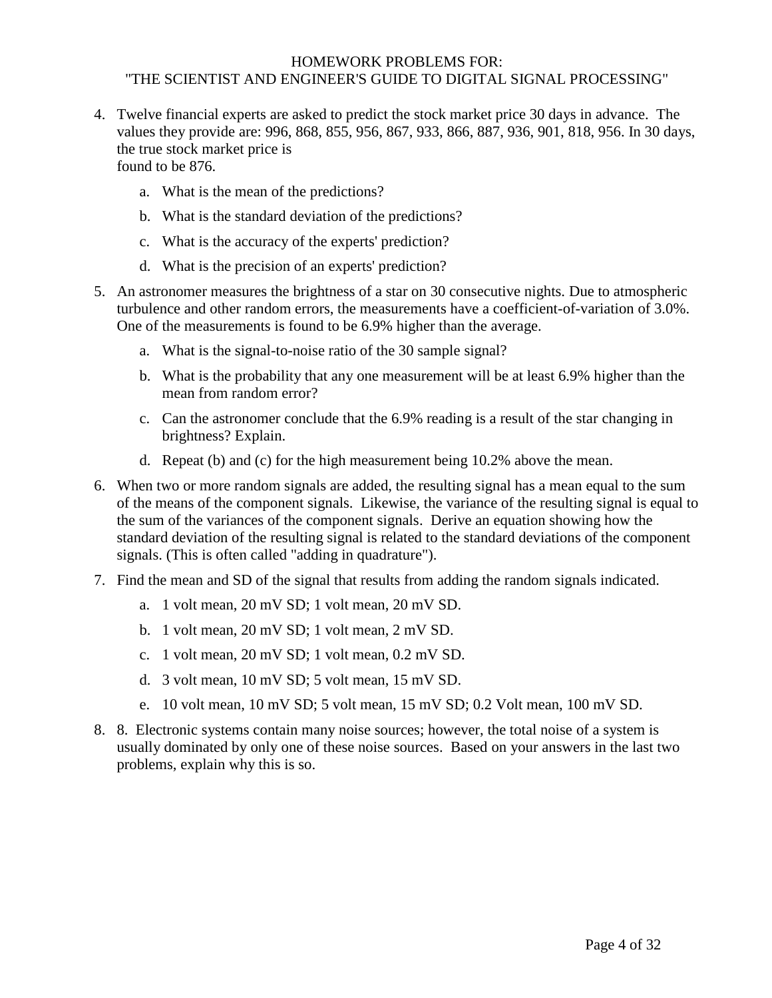- 4. Twelve financial experts are asked to predict the stock market price 30 days in advance. The values they provide are: 996, 868, 855, 956, 867, 933, 866, 887, 936, 901, 818, 956. In 30 days, the true stock market price is found to be 876.
	- a. What is the mean of the predictions?
	- b. What is the standard deviation of the predictions?
	- c. What is the accuracy of the experts' prediction?
	- d. What is the precision of an experts' prediction?
- 5. An astronomer measures the brightness of a star on 30 consecutive nights. Due to atmospheric turbulence and other random errors, the measurements have a coefficient-of-variation of 3.0%. One of the measurements is found to be 6.9% higher than the average.
	- a. What is the signal-to-noise ratio of the 30 sample signal?
	- b. What is the probability that any one measurement will be at least 6.9% higher than the mean from random error?
	- c. Can the astronomer conclude that the 6.9% reading is a result of the star changing in brightness? Explain.
	- d. Repeat (b) and (c) for the high measurement being 10.2% above the mean.
- 6. When two or more random signals are added, the resulting signal has a mean equal to the sum of the means of the component signals. Likewise, the variance of the resulting signal is equal to the sum of the variances of the component signals. Derive an equation showing how the standard deviation of the resulting signal is related to the standard deviations of the component signals. (This is often called "adding in quadrature").
- 7. Find the mean and SD of the signal that results from adding the random signals indicated.
	- a. 1 volt mean, 20 mV SD; 1 volt mean, 20 mV SD.
	- b. 1 volt mean, 20 mV SD; 1 volt mean, 2 mV SD.
	- c. 1 volt mean, 20 mV SD; 1 volt mean, 0.2 mV SD.
	- d. 3 volt mean, 10 mV SD; 5 volt mean, 15 mV SD.
	- e. 10 volt mean, 10 mV SD; 5 volt mean, 15 mV SD; 0.2 Volt mean, 100 mV SD.
- 8. 8. Electronic systems contain many noise sources; however, the total noise of a system is usually dominated by only one of these noise sources. Based on your answers in the last two problems, explain why this is so.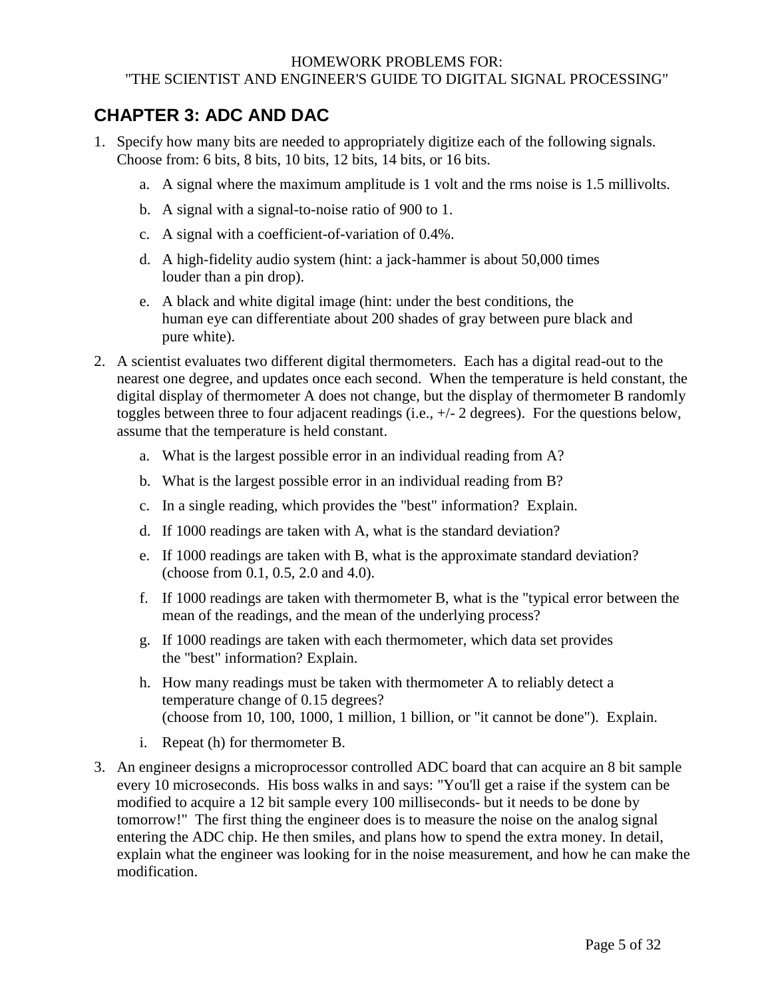### <span id="page-4-0"></span>**CHAPTER 3: ADC AND DAC**

- 1. Specify how many bits are needed to appropriately digitize each of the following signals. Choose from: 6 bits, 8 bits, 10 bits, 12 bits, 14 bits, or 16 bits.
	- a. A signal where the maximum amplitude is 1 volt and the rms noise is 1.5 millivolts.
	- b. A signal with a signal-to-noise ratio of 900 to 1.
	- c. A signal with a coefficient-of-variation of 0.4%.
	- d. A high-fidelity audio system (hint: a jack-hammer is about 50,000 times louder than a pin drop).
	- e. A black and white digital image (hint: under the best conditions, the human eye can differentiate about 200 shades of gray between pure black and pure white).
- 2. A scientist evaluates two different digital thermometers. Each has a digital read-out to the nearest one degree, and updates once each second. When the temperature is held constant, the digital display of thermometer A does not change, but the display of thermometer B randomly toggles between three to four adjacent readings (i.e., +/- 2 degrees). For the questions below, assume that the temperature is held constant.
	- a. What is the largest possible error in an individual reading from A?
	- b. What is the largest possible error in an individual reading from B?
	- c. In a single reading, which provides the "best" information? Explain.
	- d. If 1000 readings are taken with A, what is the standard deviation?
	- e. If 1000 readings are taken with B, what is the approximate standard deviation? (choose from 0.1, 0.5, 2.0 and 4.0).
	- f. If 1000 readings are taken with thermometer B, what is the "typical error between the mean of the readings, and the mean of the underlying process?
	- g. If 1000 readings are taken with each thermometer, which data set provides the "best" information? Explain.
	- h. How many readings must be taken with thermometer A to reliably detect a temperature change of 0.15 degrees? (choose from 10, 100, 1000, 1 million, 1 billion, or "it cannot be done"). Explain.
	- i. Repeat (h) for thermometer B.
- 3. An engineer designs a microprocessor controlled ADC board that can acquire an 8 bit sample every 10 microseconds. His boss walks in and says: "You'll get a raise if the system can be modified to acquire a 12 bit sample every 100 milliseconds- but it needs to be done by tomorrow!" The first thing the engineer does is to measure the noise on the analog signal entering the ADC chip. He then smiles, and plans how to spend the extra money. In detail, explain what the engineer was looking for in the noise measurement, and how he can make the modification.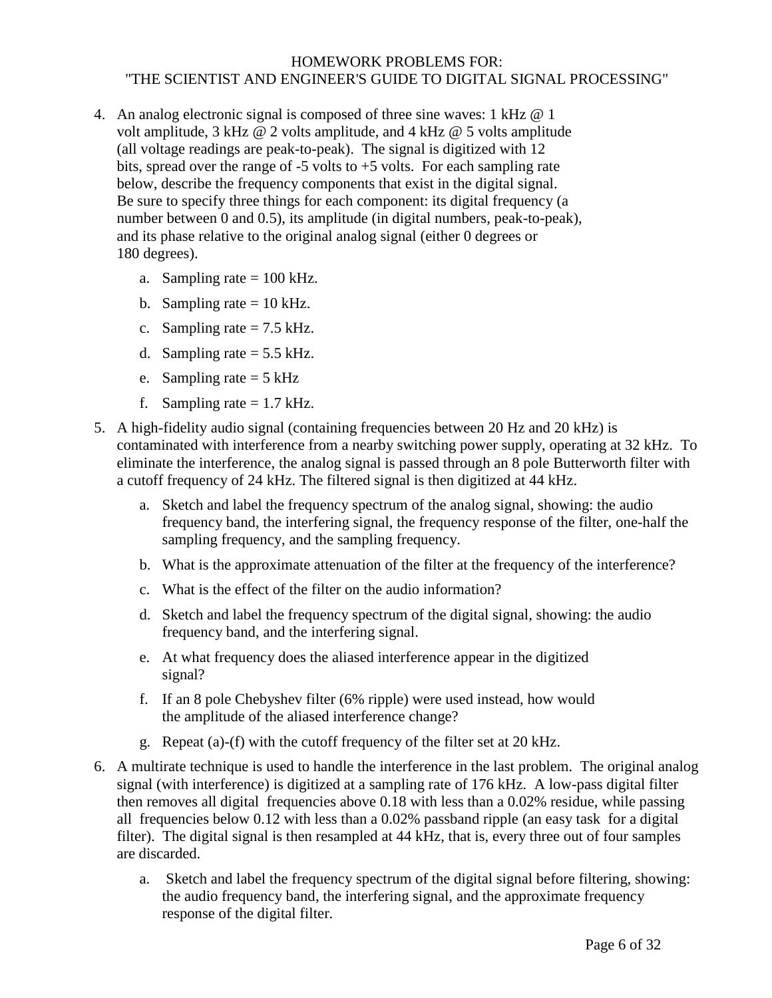- 4. An analog electronic signal is composed of three sine waves: 1 kHz @ 1 volt amplitude, 3 kHz @ 2 volts amplitude, and 4 kHz @ 5 volts amplitude (all voltage readings are peak-to-peak). The signal is digitized with 12 bits, spread over the range of  $-5$  volts to  $+5$  volts. For each sampling rate below, describe the frequency components that exist in the digital signal. Be sure to specify three things for each component: its digital frequency (a number between 0 and 0.5), its amplitude (in digital numbers, peak-to-peak), and its phase relative to the original analog signal (either 0 degrees or 180 degrees).
	- a. Sampling rate  $= 100$  kHz.
	- b. Sampling rate  $= 10$  kHz.
	- c. Sampling rate  $= 7.5$  kHz.
	- d. Sampling rate  $= 5.5$  kHz.
	- e. Sampling rate  $= 5$  kHz
	- f. Sampling rate  $= 1.7$  kHz.
- 5. A high-fidelity audio signal (containing frequencies between 20 Hz and 20 kHz) is contaminated with interference from a nearby switching power supply, operating at 32 kHz. To eliminate the interference, the analog signal is passed through an 8 pole Butterworth filter with a cutoff frequency of 24 kHz. The filtered signal is then digitized at 44 kHz.
	- a. Sketch and label the frequency spectrum of the analog signal, showing: the audio frequency band, the interfering signal, the frequency response of the filter, one-half the sampling frequency, and the sampling frequency.
	- b. What is the approximate attenuation of the filter at the frequency of the interference?
	- c. What is the effect of the filter on the audio information?
	- d. Sketch and label the frequency spectrum of the digital signal, showing: the audio frequency band, and the interfering signal.
	- e. At what frequency does the aliased interference appear in the digitized signal?
	- f. If an 8 pole Chebyshev filter (6% ripple) were used instead, how would the amplitude of the aliased interference change?
	- g. Repeat (a)-(f) with the cutoff frequency of the filter set at 20 kHz.
- 6. A multirate technique is used to handle the interference in the last problem. The original analog signal (with interference) is digitized at a sampling rate of 176 kHz. A low-pass digital filter then removes all digital frequencies above 0.18 with less than a 0.02% residue, while passing all frequencies below 0.12 with less than a 0.02% passband ripple (an easy task for a digital filter). The digital signal is then resampled at 44 kHz, that is, every three out of four samples are discarded.
	- a. Sketch and label the frequency spectrum of the digital signal before filtering, showing: the audio frequency band, the interfering signal, and the approximate frequency response of the digital filter.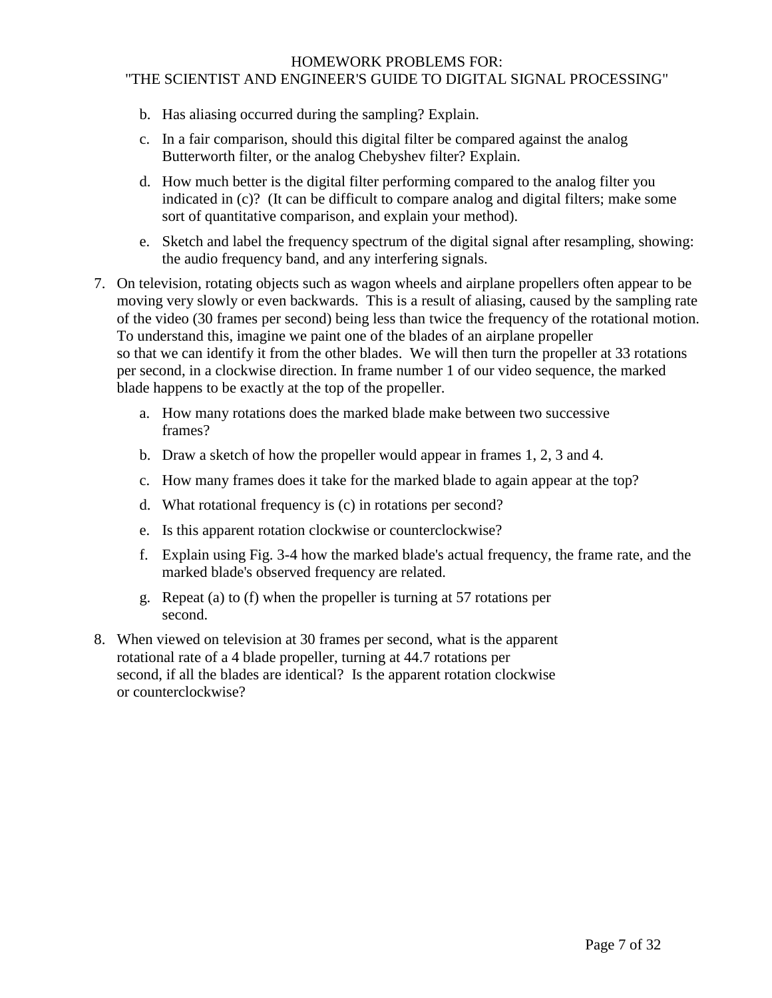- b. Has aliasing occurred during the sampling? Explain.
- c. In a fair comparison, should this digital filter be compared against the analog Butterworth filter, or the analog Chebyshev filter? Explain.
- d. How much better is the digital filter performing compared to the analog filter you indicated in (c)? (It can be difficult to compare analog and digital filters; make some sort of quantitative comparison, and explain your method).
- e. Sketch and label the frequency spectrum of the digital signal after resampling, showing: the audio frequency band, and any interfering signals.
- 7. On television, rotating objects such as wagon wheels and airplane propellers often appear to be moving very slowly or even backwards. This is a result of aliasing, caused by the sampling rate of the video (30 frames per second) being less than twice the frequency of the rotational motion. To understand this, imagine we paint one of the blades of an airplane propeller so that we can identify it from the other blades. We will then turn the propeller at 33 rotations per second, in a clockwise direction. In frame number 1 of our video sequence, the marked blade happens to be exactly at the top of the propeller.
	- a. How many rotations does the marked blade make between two successive frames?
	- b. Draw a sketch of how the propeller would appear in frames 1, 2, 3 and 4.
	- c. How many frames does it take for the marked blade to again appear at the top?
	- d. What rotational frequency is (c) in rotations per second?
	- e. Is this apparent rotation clockwise or counterclockwise?
	- f. Explain using Fig. 3-4 how the marked blade's actual frequency, the frame rate, and the marked blade's observed frequency are related.
	- g. Repeat (a) to (f) when the propeller is turning at 57 rotations per second.
- 8. When viewed on television at 30 frames per second, what is the apparent rotational rate of a 4 blade propeller, turning at 44.7 rotations per second, if all the blades are identical? Is the apparent rotation clockwise or counterclockwise?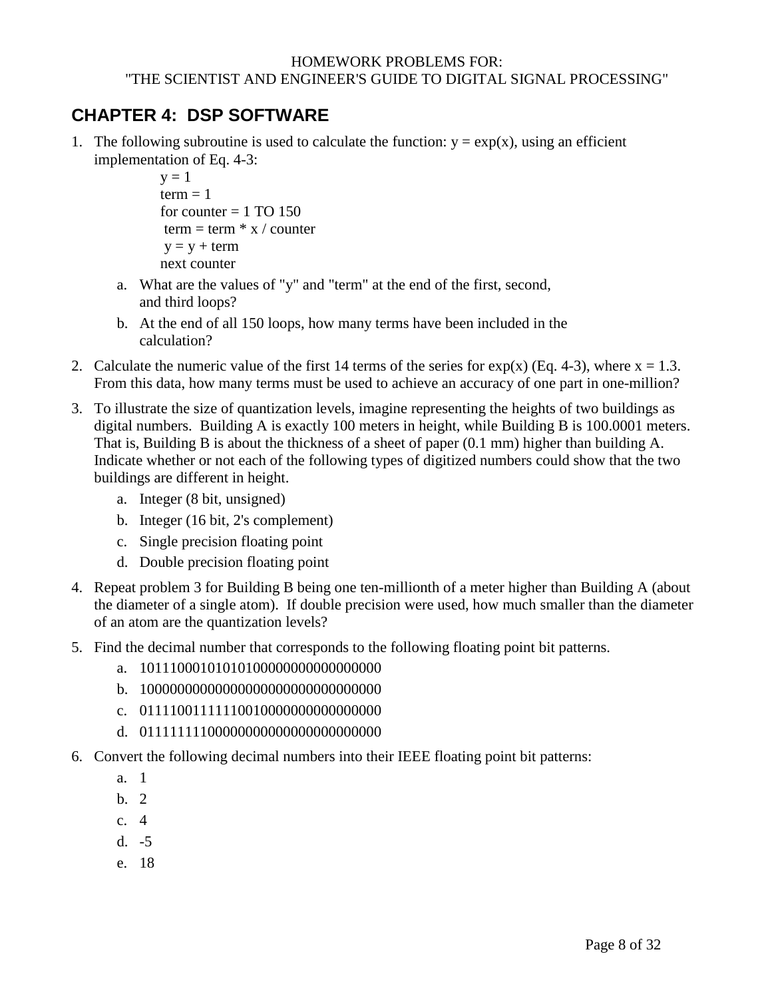# <span id="page-7-0"></span>**CHAPTER 4: DSP SOFTWARE**

1. The following subroutine is used to calculate the function:  $y = exp(x)$ , using an efficient implementation of Eq. 4-3:

```
y = 1term = 1for counter = 1 TO 150
term = term * x / countery = y + termnext counter
```
- a. What are the values of "y" and "term" at the end of the first, second, and third loops?
- b. At the end of all 150 loops, how many terms have been included in the calculation?
- 2. Calculate the numeric value of the first 14 terms of the series for  $exp(x)$  (Eq. 4-3), where  $x = 1.3$ . From this data, how many terms must be used to achieve an accuracy of one part in one-million?
- 3. To illustrate the size of quantization levels, imagine representing the heights of two buildings as digital numbers. Building A is exactly 100 meters in height, while Building B is 100.0001 meters. That is, Building B is about the thickness of a sheet of paper (0.1 mm) higher than building A. Indicate whether or not each of the following types of digitized numbers could show that the two buildings are different in height.
	- a. Integer (8 bit, unsigned)
	- b. Integer (16 bit, 2's complement)
	- c. Single precision floating point
	- d. Double precision floating point
- 4. Repeat problem 3 for Building B being one ten-millionth of a meter higher than Building A (about the diameter of a single atom). If double precision were used, how much smaller than the diameter of an atom are the quantization levels?
- 5. Find the decimal number that corresponds to the following floating point bit patterns.
	- a. 10111000101010100000000000000000
	- b. 10000000000000000000000000000000
	- c. 01111001111110010000000000000000
	- d. 01111111100000000000000000000000
- 6. Convert the following decimal numbers into their IEEE floating point bit patterns:
	- a. 1
	- b. 2
	- c. 4
	- d. -5
	- e. 18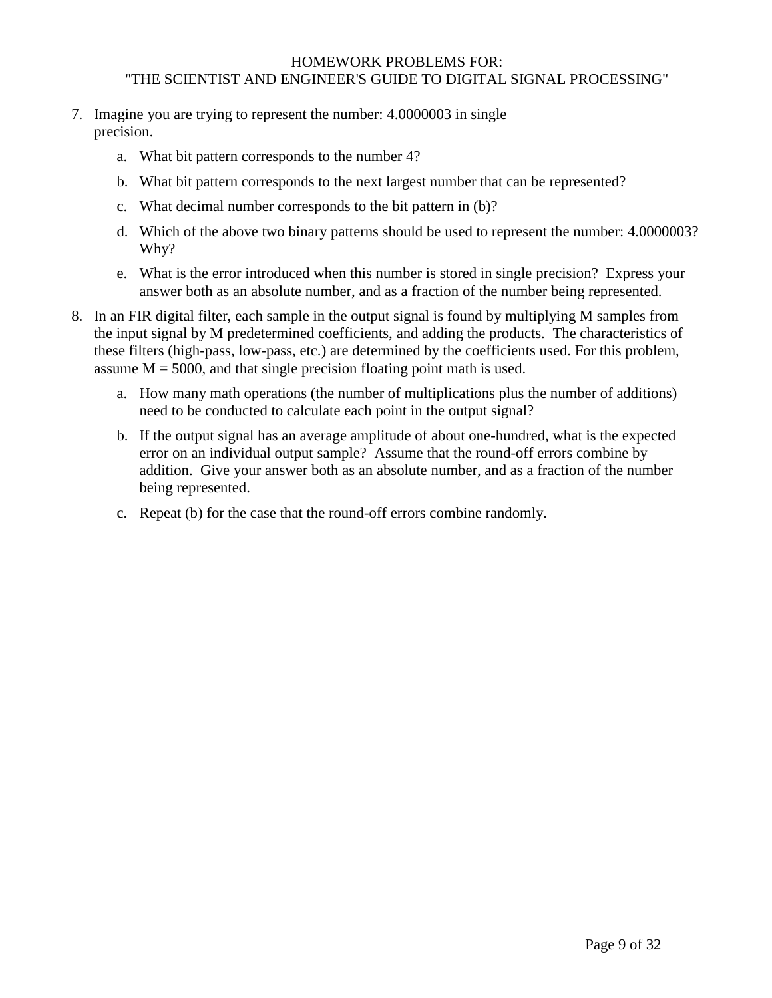- 7. Imagine you are trying to represent the number: 4.0000003 in single precision.
	- a. What bit pattern corresponds to the number 4?
	- b. What bit pattern corresponds to the next largest number that can be represented?
	- c. What decimal number corresponds to the bit pattern in (b)?
	- d. Which of the above two binary patterns should be used to represent the number: 4.0000003? Why?
	- e. What is the error introduced when this number is stored in single precision? Express your answer both as an absolute number, and as a fraction of the number being represented.
- 8. In an FIR digital filter, each sample in the output signal is found by multiplying M samples from the input signal by M predetermined coefficients, and adding the products. The characteristics of these filters (high-pass, low-pass, etc.) are determined by the coefficients used. For this problem, assume  $M = 5000$ , and that single precision floating point math is used.
	- a. How many math operations (the number of multiplications plus the number of additions) need to be conducted to calculate each point in the output signal?
	- b. If the output signal has an average amplitude of about one-hundred, what is the expected error on an individual output sample? Assume that the round-off errors combine by addition. Give your answer both as an absolute number, and as a fraction of the number being represented.
	- c. Repeat (b) for the case that the round-off errors combine randomly.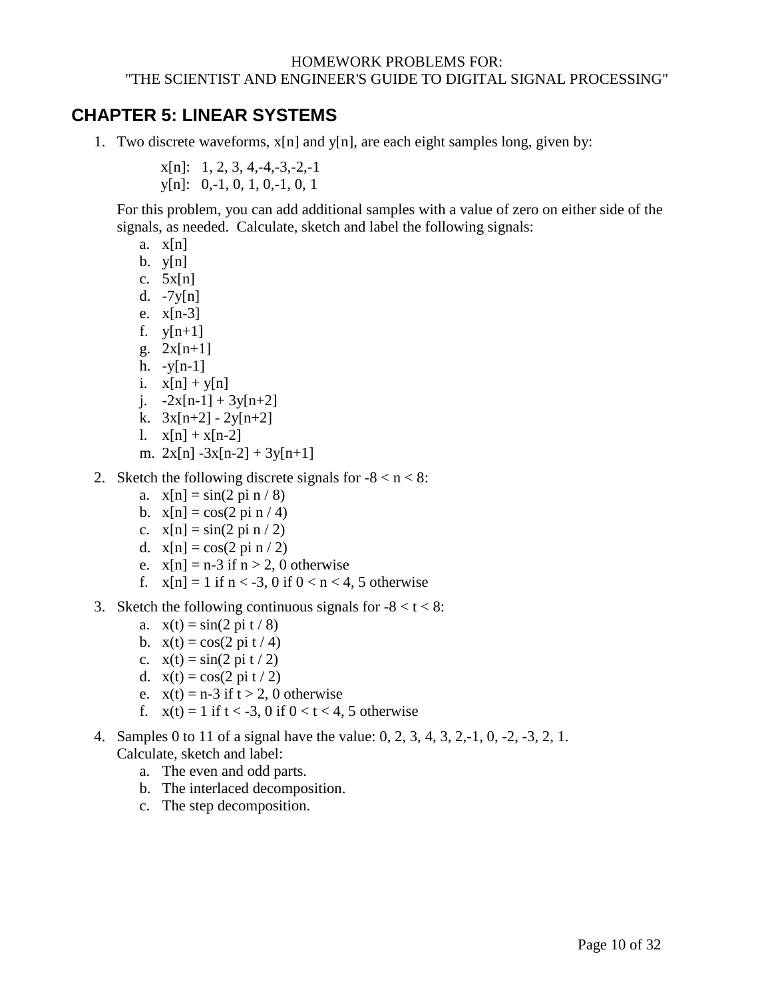### <span id="page-9-0"></span>**CHAPTER 5: LINEAR SYSTEMS**

1. Two discrete waveforms, x[n] and y[n], are each eight samples long, given by:

 $x[n]: 1, 2, 3, 4, -4, -3, -2, -1$ y[n]: 0,-1, 0, 1, 0,-1, 0, 1

 For this problem, you can add additional samples with a value of zero on either side of the signals, as needed. Calculate, sketch and label the following signals:

- a.  $x[n]$
- $b.$  y[n]
- c.  $5x[n]$
- d. -7y[n]
- e. x[n-3]
- f.  $y[n+1]$
- g. 2x[n+1]
- h.  $-y[n-1]$
- i.  $x[n] + y[n]$
- j.  $-2x[n-1] + 3y[n+2]$
- k.  $3x[n+2] 2y[n+2]$
- 1.  $x[n] + x[n-2]$
- m.  $2x[n] 3x[n-2] + 3y[n+1]$
- 2. Sketch the following discrete signals for  $-8 < n < 8$ :
	- a.  $x[n] = \sin(2 \pi n / 8)$
	- b.  $x[n] = cos(2 pi n / 4)$
	- c.  $x[n] = \sin(2 \pi n / 2)$
	- d.  $x[n] = cos(2 \pi i n / 2)$
	- e.  $x[n] = n-3$  if  $n > 2$ , 0 otherwise
	- f.  $x[n] = 1$  if  $n < -3$ , 0 if  $0 < n < 4$ , 5 otherwise
- 3. Sketch the following continuous signals for  $-8 < t < 8$ :
	- a.  $x(t) = \sin(2 \pi t / 8)$
	- b.  $x(t) = cos(2 \pi i t / 4)$
	- c.  $x(t) = \sin(2 \pi t / 2)$
	- d.  $x(t) = cos(2 \pi t / 2)$
	- e.  $x(t) = n-3$  if  $t > 2$ , 0 otherwise
	- f.  $x(t) = 1$  if  $t < -3$ , 0 if  $0 < t < 4$ , 5 otherwise
- 4. Samples 0 to 11 of a signal have the value: 0, 2, 3, 4, 3, 2,-1, 0, -2, -3, 2, 1. Calculate, sketch and label:
	- a. The even and odd parts.
	- b. The interlaced decomposition.
	- c. The step decomposition.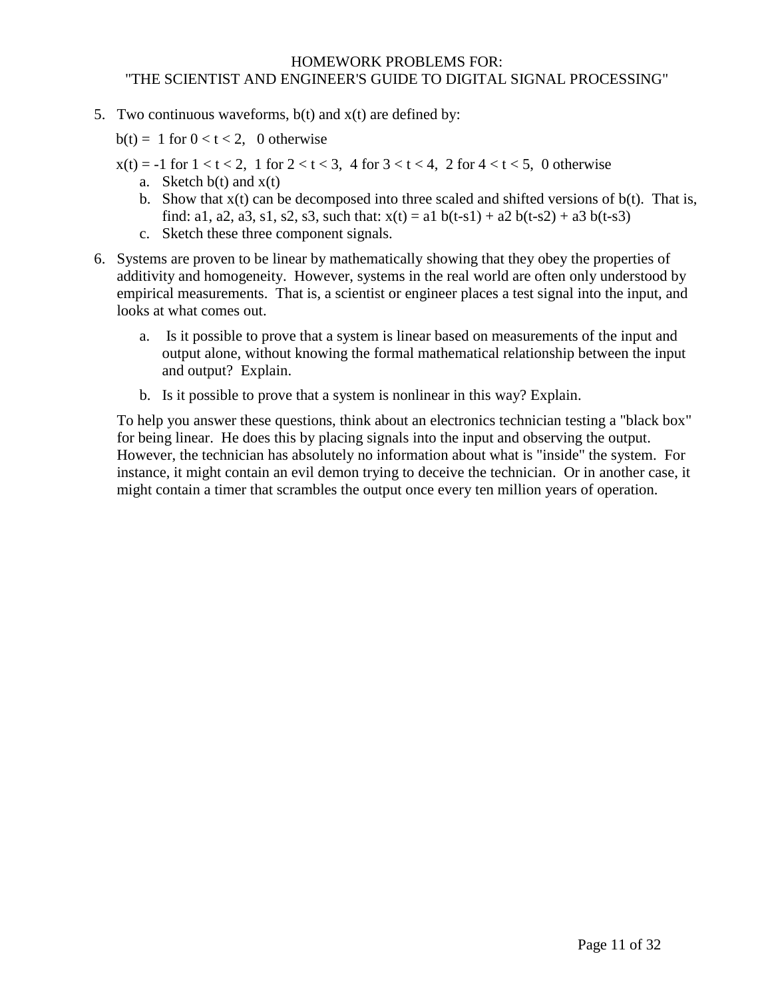5. Two continuous waveforms,  $b(t)$  and  $x(t)$  are defined by:

 $b(t) = 1$  for  $0 < t < 2$ , 0 otherwise

- $x(t) = -1$  for  $1 < t < 2$ , 1 for  $2 < t < 3$ , 4 for  $3 < t < 4$ , 2 for  $4 < t < 5$ , 0 otherwise a. Sketch  $b(t)$  and  $x(t)$ 
	- b. Show that  $x(t)$  can be decomposed into three scaled and shifted versions of  $b(t)$ . That is, find: a1, a2, a3, s1, s2, s3, such that:  $x(t) = a1 b(t-s1) + a2 b(t-s2) + a3 b(t-s3)$
	- c. Sketch these three component signals.
- 6. Systems are proven to be linear by mathematically showing that they obey the properties of additivity and homogeneity. However, systems in the real world are often only understood by empirical measurements. That is, a scientist or engineer places a test signal into the input, and looks at what comes out.
	- a. Is it possible to prove that a system is linear based on measurements of the input and output alone, without knowing the formal mathematical relationship between the input and output? Explain.
	- b. Is it possible to prove that a system is nonlinear in this way? Explain.

To help you answer these questions, think about an electronics technician testing a "black box" for being linear. He does this by placing signals into the input and observing the output. However, the technician has absolutely no information about what is "inside" the system. For instance, it might contain an evil demon trying to deceive the technician. Or in another case, it might contain a timer that scrambles the output once every ten million years of operation.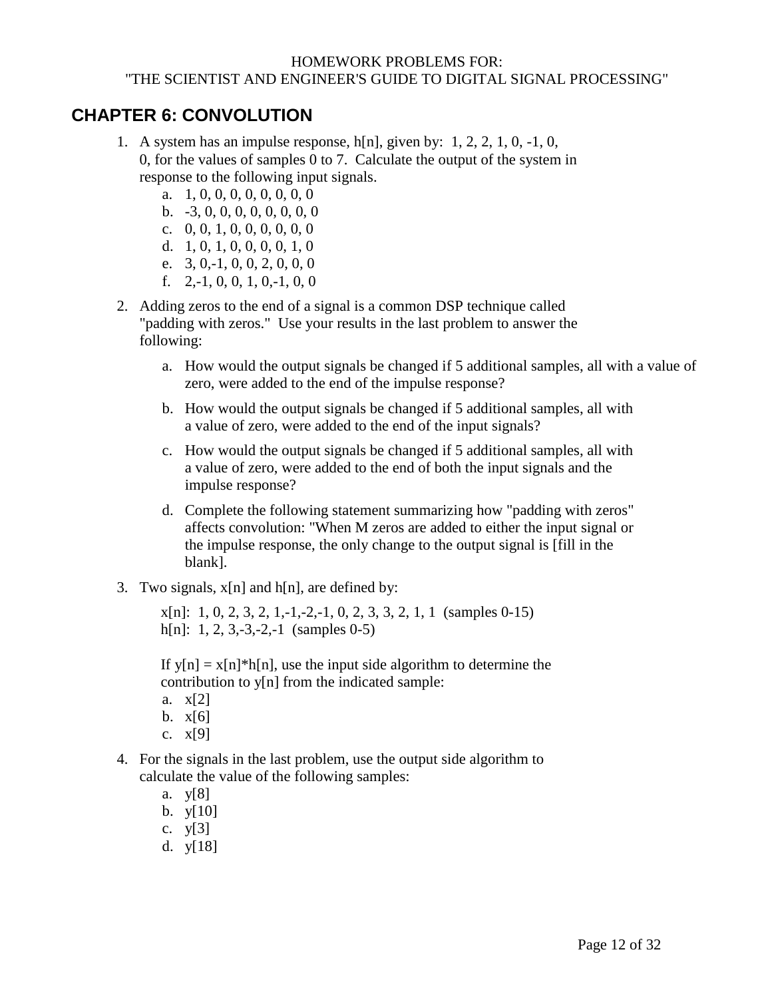### <span id="page-11-0"></span>**CHAPTER 6: CONVOLUTION**

- 1. A system has an impulse response,  $h[n]$ , given by: 1, 2, 2, 1, 0, -1, 0, 0, for the values of samples 0 to 7. Calculate the output of the system in response to the following input signals.
	- a. 1, 0, 0, 0, 0, 0, 0, 0, 0
	- b. -3, 0, 0, 0, 0, 0, 0, 0, 0
	- c. 0, 0, 1, 0, 0, 0, 0, 0, 0
	- d. 1, 0, 1, 0, 0, 0, 0, 1, 0
	- e. 3, 0,-1, 0, 0, 2, 0, 0, 0
	- f.  $2,-1, 0, 0, 1, 0,-1, 0, 0$
- 2. Adding zeros to the end of a signal is a common DSP technique called "padding with zeros." Use your results in the last problem to answer the following:
	- a. How would the output signals be changed if 5 additional samples, all with a value of zero, were added to the end of the impulse response?
	- b. How would the output signals be changed if 5 additional samples, all with a value of zero, were added to the end of the input signals?
	- c. How would the output signals be changed if 5 additional samples, all with a value of zero, were added to the end of both the input signals and the impulse response?
	- d. Complete the following statement summarizing how "padding with zeros" affects convolution: "When M zeros are added to either the input signal or the impulse response, the only change to the output signal is [fill in the blank].
- 3. Two signals,  $x[n]$  and  $h[n]$ , are defined by:

 $x[n]: 1, 0, 2, 3, 2, 1, -1, -2, -1, 0, 2, 3, 3, 2, 1, 1$  (samples 0-15) h[n]: 1, 2, 3,-3,-2,-1 (samples 0-5)

If  $y[n] = x[n]^*h[n]$ , use the input side algorithm to determine the contribution to y[n] from the indicated sample:

- a. x[2]
- $b. x[6]$
- c. x[9]
- 4. For the signals in the last problem, use the output side algorithm to calculate the value of the following samples:
	- a. y[8]
	- b.  $y[10]$
	- c. y[3]
	- d. y[18]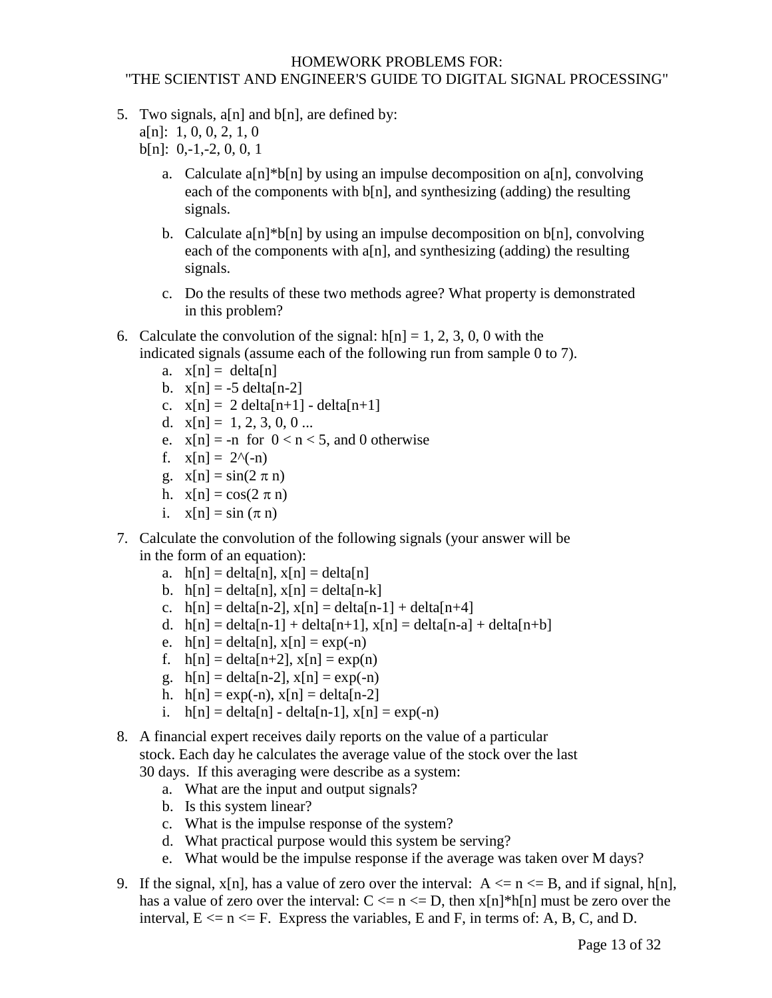5. Two signals,  $a[n]$  and  $b[n]$ , are defined by:

 $a[n]: 1, 0, 0, 2, 1, 0$ 

 $b[n]: 0,-1,-2, 0, 0, 1$ 

- a. Calculate a $[n]^*$ b $[n]$  by using an impulse decomposition on a $[n]$ , convolving each of the components with  $b[n]$ , and synthesizing (adding) the resulting signals.
- b. Calculate a[n]\*b[n] by using an impulse decomposition on b[n], convolving each of the components with  $a[n]$ , and synthesizing (adding) the resulting signals.
- c. Do the results of these two methods agree? What property is demonstrated in this problem?
- 6. Calculate the convolution of the signal:  $h[n] = 1, 2, 3, 0, 0$  with the indicated signals (assume each of the following run from sample 0 to 7).
	- a.  $x[n] = delta[n]$
	- b.  $x[n] = -5$  delta[n-2]
	- c.  $x[n] = 2 \text{ delta}[n+1] \text{delta}[n+1]$
	- d.  $x[n] = 1, 2, 3, 0, 0 ...$
	- e.  $x[n] = -n$  for  $0 < n < 5$ , and 0 otherwise
	- f.  $x[n] = 2^{\wedge}(-n)$
	- g.  $x[n] = \sin(2 \pi n)$
	- h.  $x[n] = cos(2 \pi n)$
	- i.  $x[n] = \sin(\pi n)$
- 7. Calculate the convolution of the following signals (your answer will be in the form of an equation):
	- a.  $h[n] = delta[n], x[n] = delta[n]$
	- b.  $h[n] = delta[n], x[n] = delta[n-k]$
	- c.  $h[n] = delta[n-2]$ ,  $x[n] = delta[n-1] + delta[n+4]$
	- d.  $h[n] = delta[n-1] + delta[n+1]$ ,  $x[n] = delta[n-a] + delta[n+b]$
	- e.  $h[n] = delta[n], x[n] = exp(-n)$
	- f.  $h[n] = delta[n+2]$ ,  $x[n] = exp(n)$
	- g.  $h[n] = delta[n-2]$ ,  $x[n] = exp(-n)$
	- h.  $h[n] = exp(-n)$ ,  $x[n] = delta[n-2]$
	- i.  $h[n] = delta[n] delta[n-1]$ ,  $x[n] = exp(-n)$
- 8. A financial expert receives daily reports on the value of a particular stock. Each day he calculates the average value of the stock over the last 30 days. If this averaging were describe as a system:
	- a. What are the input and output signals?
	- b. Is this system linear?
	- c. What is the impulse response of the system?
	- d. What practical purpose would this system be serving?
	- e. What would be the impulse response if the average was taken over M days?
- 9. If the signal,  $x[n]$ , has a value of zero over the interval:  $A \le n \le B$ , and if signal,  $h[n]$ , has a value of zero over the interval:  $C \le n \le D$ , then  $x[n]^*h[n]$  must be zero over the interval,  $E \le n \le F$ . Express the variables, E and F, in terms of: A, B, C, and D.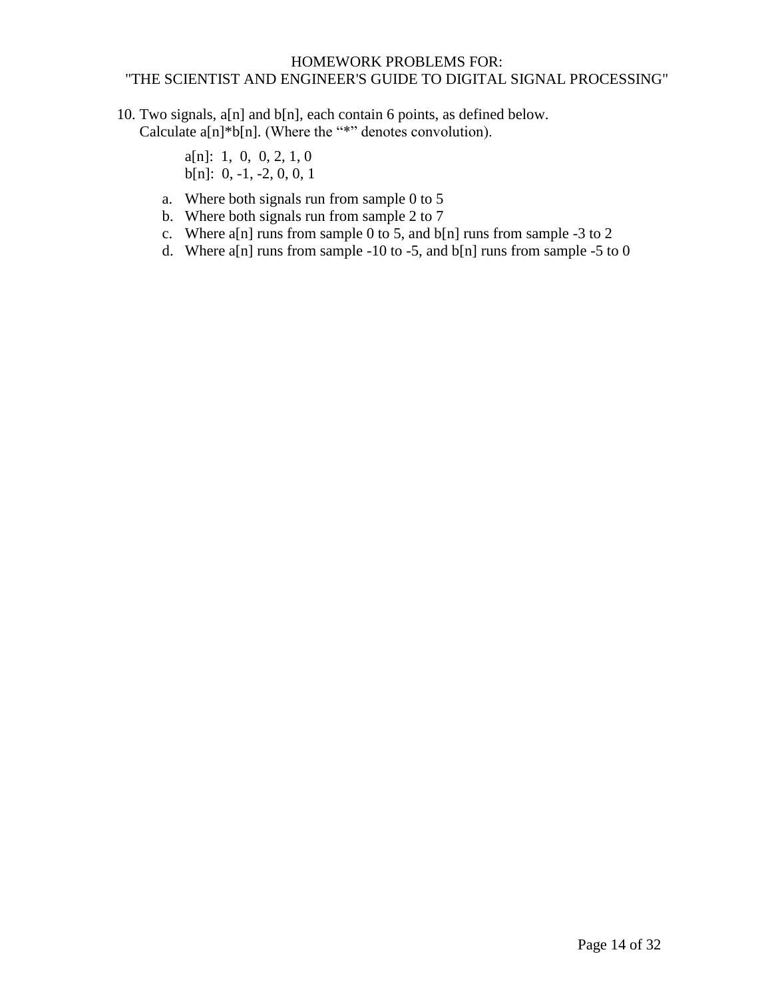10. Two signals, a[n] and b[n], each contain 6 points, as defined below. Calculate a[n]\*b[n]. (Where the "\*" denotes convolution).

> a[n]: 1, 0, 0, 2, 1, 0 b[n]: 0, -1, -2, 0, 0, 1

- a. Where both signals run from sample 0 to 5
- b. Where both signals run from sample 2 to 7
- c. Where a[n] runs from sample 0 to 5, and  $b[n]$  runs from sample -3 to 2
- d. Where a[n] runs from sample -10 to -5, and  $b[n]$  runs from sample -5 to 0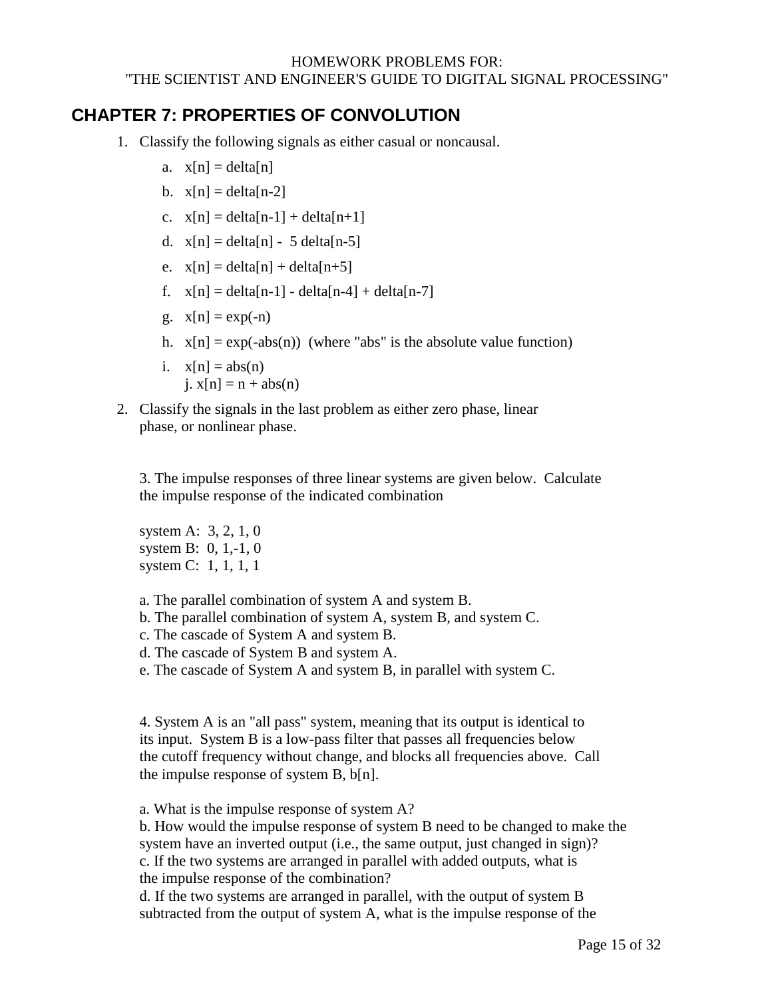### <span id="page-14-0"></span>**CHAPTER 7: PROPERTIES OF CONVOLUTION**

- 1. Classify the following signals as either casual or noncausal.
	- a.  $x[n] = delta[n]$
	- b.  $x[n] = delta[n-2]$
	- c.  $x[n] = delta[n-1] + delta[n+1]$
	- d.  $x[n] = delta[n] 5 delta[n-5]$
	- e.  $x[n] = delta[n] + delta[n+5]$
	- f.  $x[n] = delta[n-1] delta[n-4] + delta[n-7]$
	- g.  $x[n] = exp(-n)$
	- h.  $x[n] = exp(-abs(n))$  (where "abs" is the absolute value function)
	- i.  $x[n] = abs(n)$  $i. x[n] = n + abs(n)$
- 2. Classify the signals in the last problem as either zero phase, linear phase, or nonlinear phase.

3. The impulse responses of three linear systems are given below. Calculate the impulse response of the indicated combination

system A: 3, 2, 1, 0 system B: 0, 1,-1, 0 system C: 1, 1, 1, 1

a. The parallel combination of system A and system B.

b. The parallel combination of system A, system B, and system C.

- c. The cascade of System A and system B.
- d. The cascade of System B and system A.
- e. The cascade of System A and system B, in parallel with system C.

4. System A is an "all pass" system, meaning that its output is identical to its input. System B is a low-pass filter that passes all frequencies below the cutoff frequency without change, and blocks all frequencies above. Call the impulse response of system B, b[n].

a. What is the impulse response of system A?

b. How would the impulse response of system B need to be changed to make the system have an inverted output (i.e., the same output, just changed in sign)? c. If the two systems are arranged in parallel with added outputs, what is the impulse response of the combination?

d. If the two systems are arranged in parallel, with the output of system B subtracted from the output of system A, what is the impulse response of the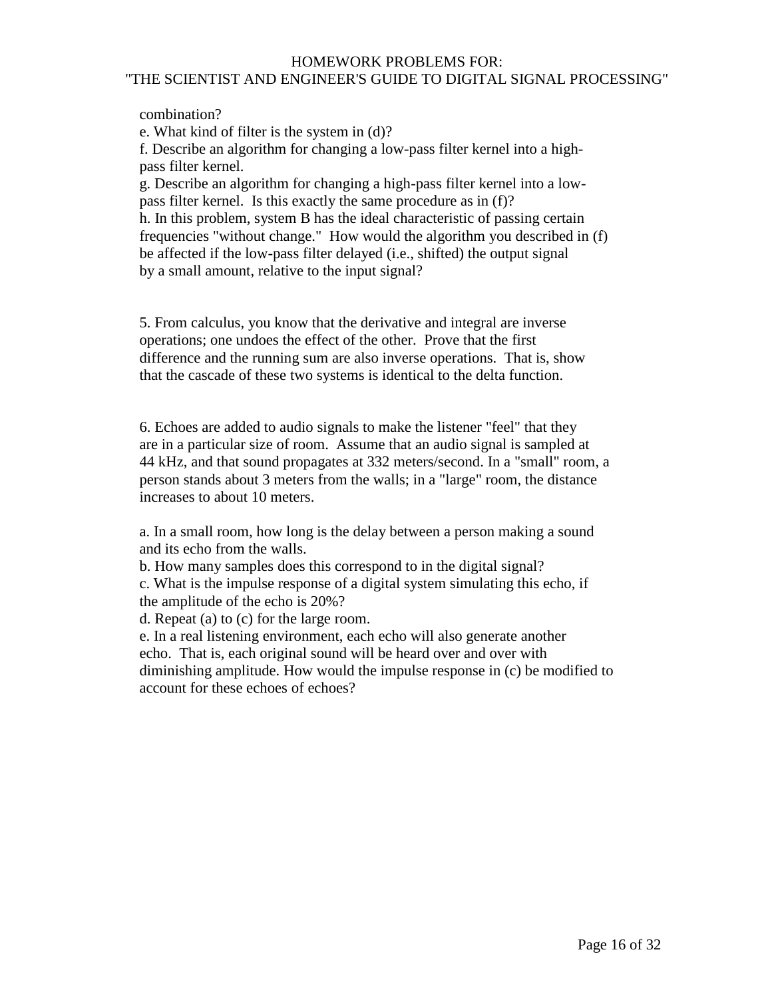combination?

e. What kind of filter is the system in (d)?

f. Describe an algorithm for changing a low-pass filter kernel into a highpass filter kernel.

g. Describe an algorithm for changing a high-pass filter kernel into a lowpass filter kernel. Is this exactly the same procedure as in (f)? h. In this problem, system B has the ideal characteristic of passing certain

frequencies "without change." How would the algorithm you described in (f) be affected if the low-pass filter delayed (i.e., shifted) the output signal by a small amount, relative to the input signal?

5. From calculus, you know that the derivative and integral are inverse operations; one undoes the effect of the other. Prove that the first difference and the running sum are also inverse operations. That is, show that the cascade of these two systems is identical to the delta function.

6. Echoes are added to audio signals to make the listener "feel" that they are in a particular size of room. Assume that an audio signal is sampled at 44 kHz, and that sound propagates at 332 meters/second. In a "small" room, a person stands about 3 meters from the walls; in a "large" room, the distance increases to about 10 meters.

a. In a small room, how long is the delay between a person making a sound and its echo from the walls.

b. How many samples does this correspond to in the digital signal? c. What is the impulse response of a digital system simulating this echo, if the amplitude of the echo is 20%?

d. Repeat (a) to (c) for the large room.

e. In a real listening environment, each echo will also generate another echo. That is, each original sound will be heard over and over with diminishing amplitude. How would the impulse response in (c) be modified to account for these echoes of echoes?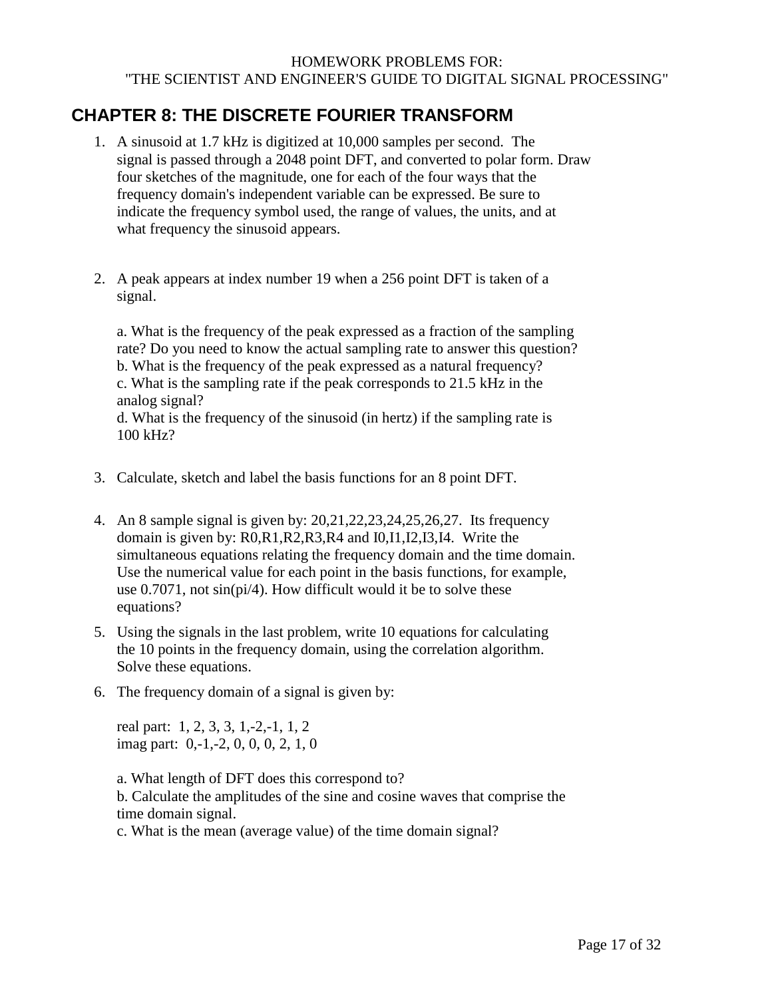### <span id="page-16-0"></span>**CHAPTER 8: THE DISCRETE FOURIER TRANSFORM**

- 1. A sinusoid at 1.7 kHz is digitized at 10,000 samples per second. The signal is passed through a 2048 point DFT, and converted to polar form. Draw four sketches of the magnitude, one for each of the four ways that the frequency domain's independent variable can be expressed. Be sure to indicate the frequency symbol used, the range of values, the units, and at what frequency the sinusoid appears.
- 2. A peak appears at index number 19 when a 256 point DFT is taken of a signal.

a. What is the frequency of the peak expressed as a fraction of the sampling rate? Do you need to know the actual sampling rate to answer this question? b. What is the frequency of the peak expressed as a natural frequency? c. What is the sampling rate if the peak corresponds to 21.5 kHz in the analog signal? d. What is the frequency of the sinusoid (in hertz) if the sampling rate is 100 kHz?

- 3. Calculate, sketch and label the basis functions for an 8 point DFT.
- 4. An 8 sample signal is given by: 20,21,22,23,24,25,26,27. Its frequency domain is given by: R0,R1,R2,R3,R4 and I0,I1,I2,I3,I4. Write the simultaneous equations relating the frequency domain and the time domain. Use the numerical value for each point in the basis functions, for example, use  $0.7071$ , not  $sin(pi/4)$ . How difficult would it be to solve these equations?
- 5. Using the signals in the last problem, write 10 equations for calculating the 10 points in the frequency domain, using the correlation algorithm. Solve these equations.
- 6. The frequency domain of a signal is given by:

real part: 1, 2, 3, 3, 1,-2,-1, 1, 2 imag part: 0,-1,-2, 0, 0, 0, 2, 1, 0

a. What length of DFT does this correspond to? b. Calculate the amplitudes of the sine and cosine waves that comprise the time domain signal.

c. What is the mean (average value) of the time domain signal?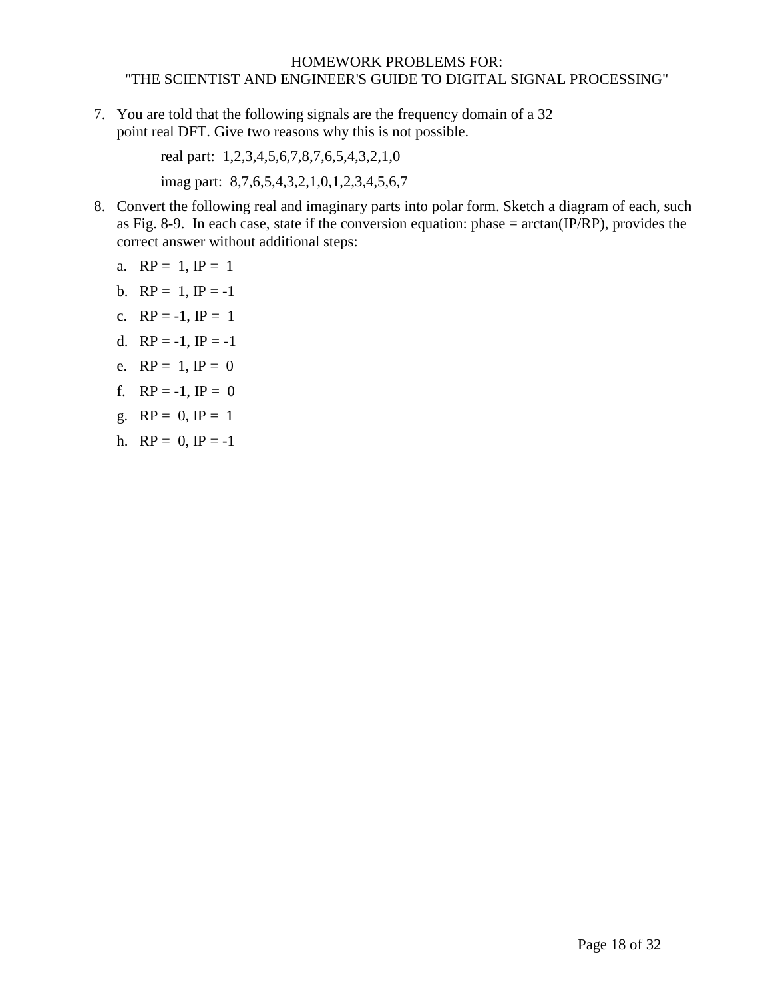7. You are told that the following signals are the frequency domain of a 32 point real DFT. Give two reasons why this is not possible.

> real part: 1,2,3,4,5,6,7,8,7,6,5,4,3,2,1,0 imag part: 8,7,6,5,4,3,2,1,0,1,2,3,4,5,6,7

8. Convert the following real and imaginary parts into polar form. Sketch a diagram of each, such as Fig. 8-9. In each case, state if the conversion equation: phase = arctan(IP/RP), provides the correct answer without additional steps:

a. 
$$
RP = 1
$$
,  $IP = 1$ 

- b.  $RP = 1$ ,  $IP = -1$
- c.  $RP = -1$ ,  $IP = 1$
- d.  $RP = -1$ ,  $IP = -1$
- e.  $RP = 1$ ,  $IP = 0$
- f.  $RP = -1$ ,  $IP = 0$
- g.  $RP = 0$ ,  $IP = 1$
- h.  $RP = 0$ ,  $IP = -1$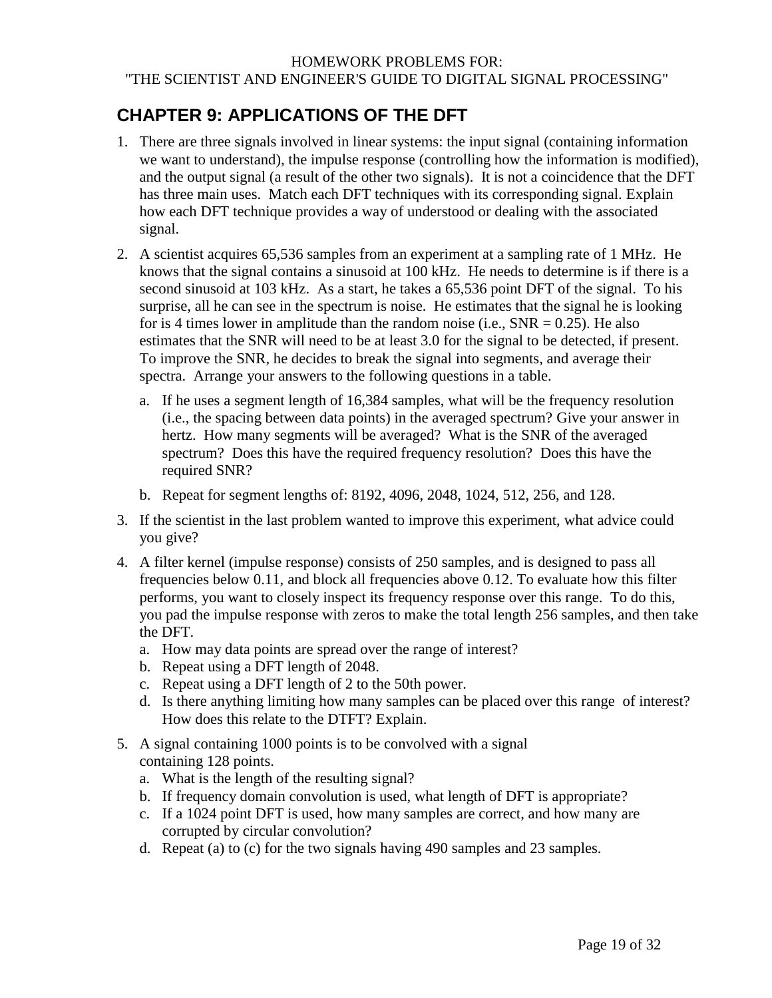# <span id="page-18-0"></span>**CHAPTER 9: APPLICATIONS OF THE DFT**

- 1. There are three signals involved in linear systems: the input signal (containing information we want to understand), the impulse response (controlling how the information is modified), and the output signal (a result of the other two signals). It is not a coincidence that the DFT has three main uses. Match each DFT techniques with its corresponding signal. Explain how each DFT technique provides a way of understood or dealing with the associated signal.
- 2. A scientist acquires 65,536 samples from an experiment at a sampling rate of 1 MHz. He knows that the signal contains a sinusoid at 100 kHz. He needs to determine is if there is a second sinusoid at 103 kHz. As a start, he takes a 65,536 point DFT of the signal. To his surprise, all he can see in the spectrum is noise. He estimates that the signal he is looking for is 4 times lower in amplitude than the random noise (i.e.,  $SNR = 0.25$ ). He also estimates that the SNR will need to be at least 3.0 for the signal to be detected, if present. To improve the SNR, he decides to break the signal into segments, and average their spectra. Arrange your answers to the following questions in a table.
	- a. If he uses a segment length of 16,384 samples, what will be the frequency resolution (i.e., the spacing between data points) in the averaged spectrum? Give your answer in hertz. How many segments will be averaged? What is the SNR of the averaged spectrum? Does this have the required frequency resolution? Does this have the required SNR?
	- b. Repeat for segment lengths of: 8192, 4096, 2048, 1024, 512, 256, and 128.
- 3. If the scientist in the last problem wanted to improve this experiment, what advice could you give?
- 4. A filter kernel (impulse response) consists of 250 samples, and is designed to pass all frequencies below 0.11, and block all frequencies above 0.12. To evaluate how this filter performs, you want to closely inspect its frequency response over this range. To do this, you pad the impulse response with zeros to make the total length 256 samples, and then take the DFT.
	- a. How may data points are spread over the range of interest?
	- b. Repeat using a DFT length of 2048.
	- c. Repeat using a DFT length of 2 to the 50th power.
	- d. Is there anything limiting how many samples can be placed over this range of interest? How does this relate to the DTFT? Explain.
- 5. A signal containing 1000 points is to be convolved with a signal containing 128 points.
	- a. What is the length of the resulting signal?
	- b. If frequency domain convolution is used, what length of DFT is appropriate?
	- c. If a 1024 point DFT is used, how many samples are correct, and how many are corrupted by circular convolution?
	- d. Repeat (a) to (c) for the two signals having 490 samples and 23 samples.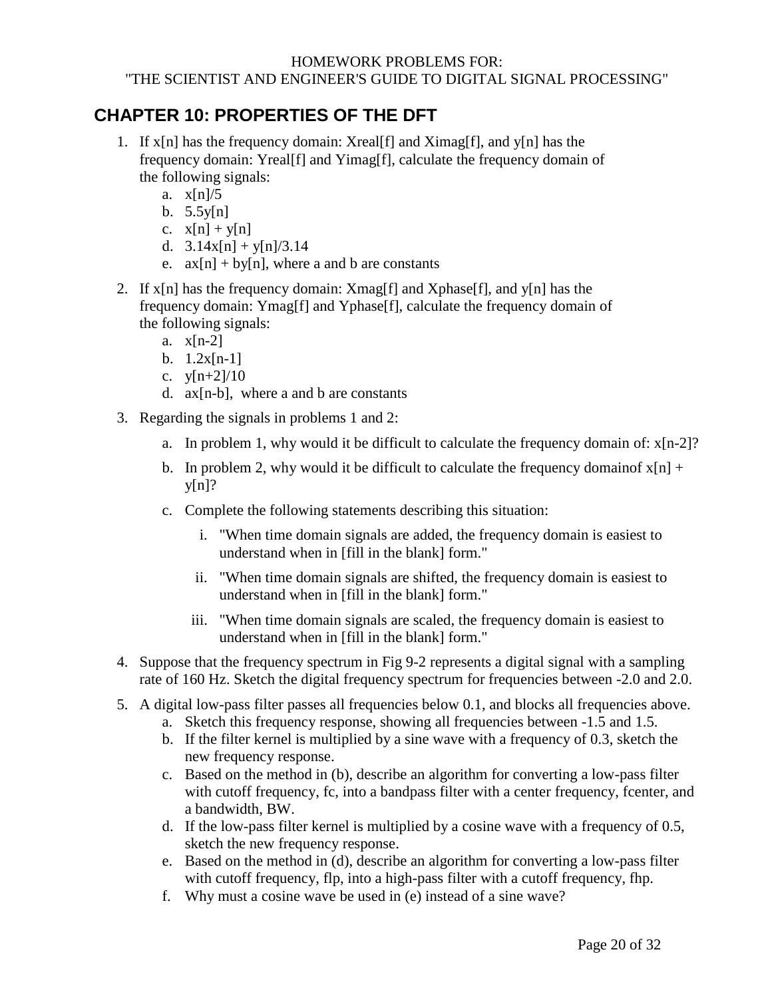## <span id="page-19-0"></span>**CHAPTER 10: PROPERTIES OF THE DFT**

- 1. If  $x[n]$  has the frequency domain: Xreal[f] and Ximag[f], and  $y[n]$  has the frequency domain: Yreal[f] and Yimag[f], calculate the frequency domain of the following signals:
	- a. x[n]/5
	- b.  $5.5y[n]$
	- c.  $x[n] + y[n]$
	- d.  $3.14x[n] + y[n]/3.14$
	- e.  $ax[n] + by[n]$ , where a and b are constants
- 2. If  $x[n]$  has the frequency domain:  $Xmag[f]$  and  $Xphase[f]$ , and  $y[n]$  has the frequency domain: Ymag[f] and Yphase[f], calculate the frequency domain of the following signals:
	- a. x[n-2]
	- b.  $1.2x[n-1]$
	- c. y[n+2]/10
	- d. ax[n-b], where a and b are constants
- 3. Regarding the signals in problems 1 and 2:
	- a. In problem 1, why would it be difficult to calculate the frequency domain of: x[n-2]?
	- b. In problem 2, why would it be difficult to calculate the frequency domainof  $x[n]$  +  $y[n]$ ?
	- c. Complete the following statements describing this situation:
		- i. "When time domain signals are added, the frequency domain is easiest to understand when in [fill in the blank] form."
		- ii. "When time domain signals are shifted, the frequency domain is easiest to understand when in [fill in the blank] form."
		- iii. "When time domain signals are scaled, the frequency domain is easiest to understand when in [fill in the blank] form."
- 4. Suppose that the frequency spectrum in Fig 9-2 represents a digital signal with a sampling rate of 160 Hz. Sketch the digital frequency spectrum for frequencies between -2.0 and 2.0.
- 5. A digital low-pass filter passes all frequencies below 0.1, and blocks all frequencies above.
	- a. Sketch this frequency response, showing all frequencies between -1.5 and 1.5.
	- b. If the filter kernel is multiplied by a sine wave with a frequency of 0.3, sketch the new frequency response.
	- c. Based on the method in (b), describe an algorithm for converting a low-pass filter with cutoff frequency, fc, into a bandpass filter with a center frequency, fcenter, and a bandwidth, BW.
	- d. If the low-pass filter kernel is multiplied by a cosine wave with a frequency of 0.5, sketch the new frequency response.
	- e. Based on the method in (d), describe an algorithm for converting a low-pass filter with cutoff frequency, flp, into a high-pass filter with a cutoff frequency, fhp.
	- f. Why must a cosine wave be used in (e) instead of a sine wave?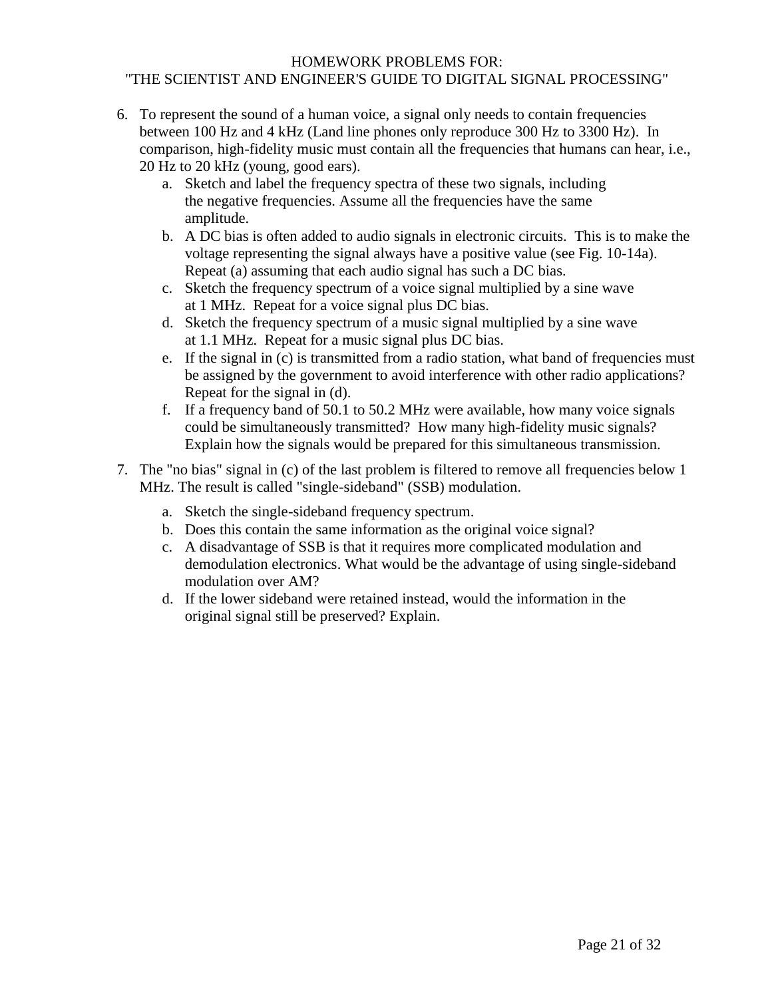- 6. To represent the sound of a human voice, a signal only needs to contain frequencies between 100 Hz and 4 kHz (Land line phones only reproduce 300 Hz to 3300 Hz). In comparison, high-fidelity music must contain all the frequencies that humans can hear, i.e., 20 Hz to 20 kHz (young, good ears).
	- a. Sketch and label the frequency spectra of these two signals, including the negative frequencies. Assume all the frequencies have the same amplitude.
	- b. A DC bias is often added to audio signals in electronic circuits. This is to make the voltage representing the signal always have a positive value (see Fig. 10-14a). Repeat (a) assuming that each audio signal has such a DC bias.
	- c. Sketch the frequency spectrum of a voice signal multiplied by a sine wave at 1 MHz. Repeat for a voice signal plus DC bias.
	- d. Sketch the frequency spectrum of a music signal multiplied by a sine wave at 1.1 MHz. Repeat for a music signal plus DC bias.
	- e. If the signal in (c) is transmitted from a radio station, what band of frequencies must be assigned by the government to avoid interference with other radio applications? Repeat for the signal in (d).
	- f. If a frequency band of 50.1 to 50.2 MHz were available, how many voice signals could be simultaneously transmitted? How many high-fidelity music signals? Explain how the signals would be prepared for this simultaneous transmission.
- 7. The "no bias" signal in (c) of the last problem is filtered to remove all frequencies below 1 MHz. The result is called "single-sideband" (SSB) modulation.
	- a. Sketch the single-sideband frequency spectrum.
	- b. Does this contain the same information as the original voice signal?
	- c. A disadvantage of SSB is that it requires more complicated modulation and demodulation electronics. What would be the advantage of using single-sideband modulation over AM?
	- d. If the lower sideband were retained instead, would the information in the original signal still be preserved? Explain.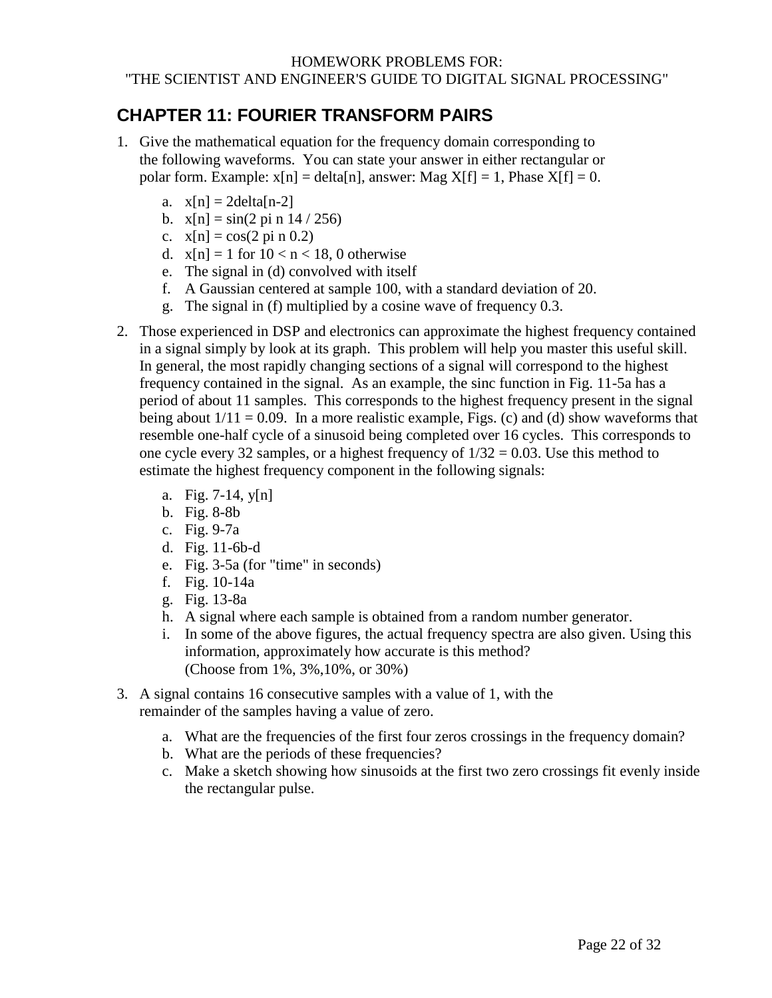# <span id="page-21-0"></span>**CHAPTER 11: FOURIER TRANSFORM PAIRS**

- 1. Give the mathematical equation for the frequency domain corresponding to the following waveforms. You can state your answer in either rectangular or polar form. Example:  $x[n] = delta[n]$ , answer: Mag  $X[f] = 1$ , Phase  $X[f] = 0$ .
	- a.  $x[n] = 2$ delta $[n-2]$
	- b.  $x[n] = \sin(2 \pi n) 14 / 256$
	- c.  $x[n] = cos(2 pi n 0.2)$
	- d.  $x[n] = 1$  for  $10 < n < 18$ , 0 otherwise
	- e. The signal in (d) convolved with itself
	- f. A Gaussian centered at sample 100, with a standard deviation of 20.
	- g. The signal in (f) multiplied by a cosine wave of frequency 0.3.
- 2. Those experienced in DSP and electronics can approximate the highest frequency contained in a signal simply by look at its graph. This problem will help you master this useful skill. In general, the most rapidly changing sections of a signal will correspond to the highest frequency contained in the signal. As an example, the sinc function in Fig. 11-5a has a period of about 11 samples. This corresponds to the highest frequency present in the signal being about  $1/11 = 0.09$ . In a more realistic example, Figs. (c) and (d) show waveforms that resemble one-half cycle of a sinusoid being completed over 16 cycles. This corresponds to one cycle every 32 samples, or a highest frequency of  $1/32 = 0.03$ . Use this method to estimate the highest frequency component in the following signals:
	- a. Fig. 7-14, y[n]
	- b. Fig. 8-8b
	- c. Fig. 9-7a
	- d. Fig. 11-6b-d
	- e. Fig. 3-5a (for "time" in seconds)
	- f. Fig. 10-14a
	- g. Fig. 13-8a
	- h. A signal where each sample is obtained from a random number generator.
	- i. In some of the above figures, the actual frequency spectra are also given. Using this information, approximately how accurate is this method? (Choose from 1%, 3%,10%, or 30%)
- 3. A signal contains 16 consecutive samples with a value of 1, with the remainder of the samples having a value of zero.
	- a. What are the frequencies of the first four zeros crossings in the frequency domain?
	- b. What are the periods of these frequencies?
	- c. Make a sketch showing how sinusoids at the first two zero crossings fit evenly inside the rectangular pulse.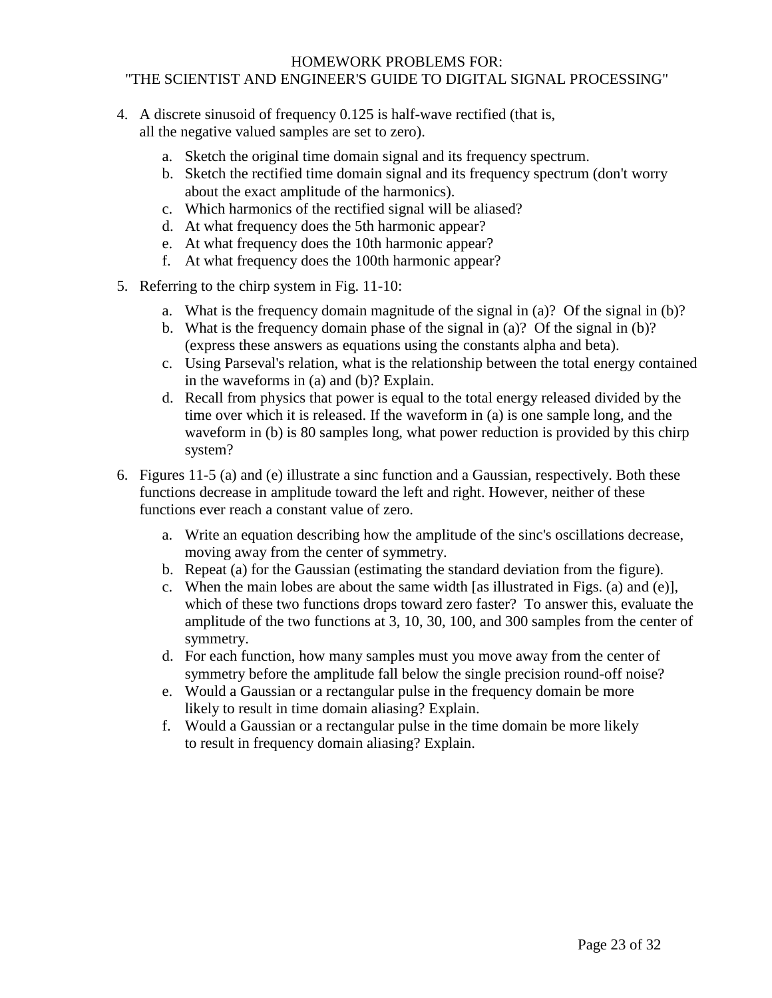- 4. A discrete sinusoid of frequency 0.125 is half-wave rectified (that is, all the negative valued samples are set to zero).
	- a. Sketch the original time domain signal and its frequency spectrum.
	- b. Sketch the rectified time domain signal and its frequency spectrum (don't worry about the exact amplitude of the harmonics).
	- c. Which harmonics of the rectified signal will be aliased?
	- d. At what frequency does the 5th harmonic appear?
	- e. At what frequency does the 10th harmonic appear?
	- f. At what frequency does the 100th harmonic appear?
- 5. Referring to the chirp system in Fig. 11-10:
	- a. What is the frequency domain magnitude of the signal in (a)? Of the signal in (b)?
	- b. What is the frequency domain phase of the signal in (a)? Of the signal in (b)? (express these answers as equations using the constants alpha and beta).
	- c. Using Parseval's relation, what is the relationship between the total energy contained in the waveforms in (a) and (b)? Explain.
	- d. Recall from physics that power is equal to the total energy released divided by the time over which it is released. If the waveform in (a) is one sample long, and the waveform in (b) is 80 samples long, what power reduction is provided by this chirp system?
- 6. Figures 11-5 (a) and (e) illustrate a sinc function and a Gaussian, respectively. Both these functions decrease in amplitude toward the left and right. However, neither of these functions ever reach a constant value of zero.
	- a. Write an equation describing how the amplitude of the sinc's oscillations decrease, moving away from the center of symmetry.
	- b. Repeat (a) for the Gaussian (estimating the standard deviation from the figure).
	- c. When the main lobes are about the same width [as illustrated in Figs. (a) and (e)], which of these two functions drops toward zero faster? To answer this, evaluate the amplitude of the two functions at 3, 10, 30, 100, and 300 samples from the center of symmetry.
	- d. For each function, how many samples must you move away from the center of symmetry before the amplitude fall below the single precision round-off noise?
	- e. Would a Gaussian or a rectangular pulse in the frequency domain be more likely to result in time domain aliasing? Explain.
	- f. Would a Gaussian or a rectangular pulse in the time domain be more likely to result in frequency domain aliasing? Explain.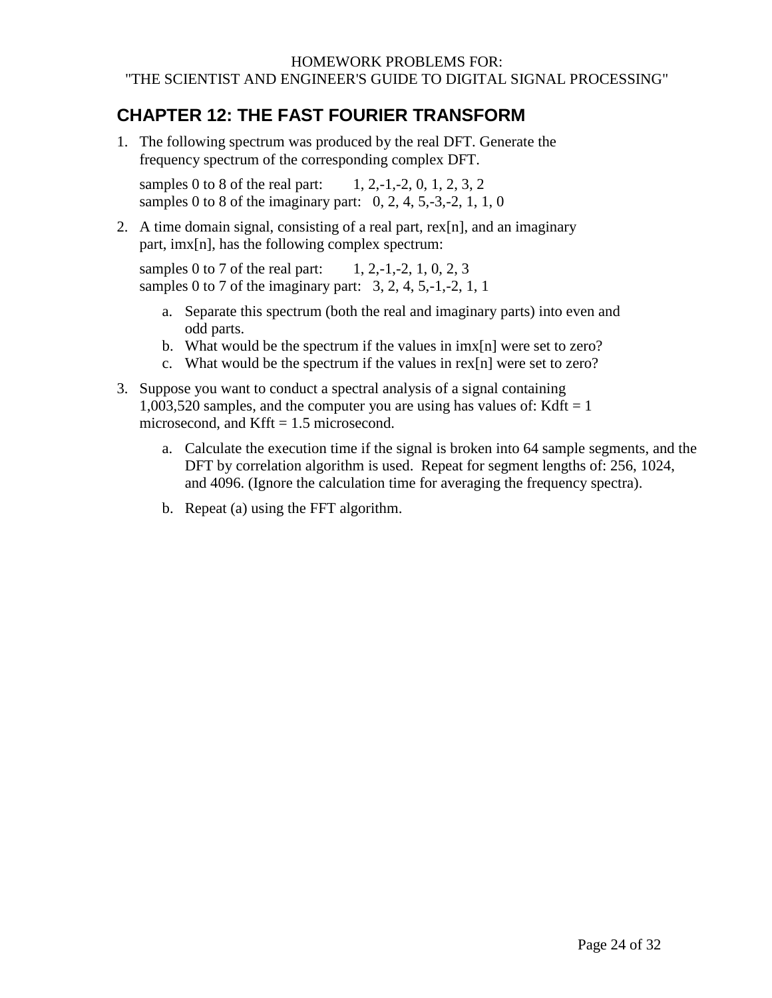## <span id="page-23-0"></span>**CHAPTER 12: THE FAST FOURIER TRANSFORM**

1. The following spectrum was produced by the real DFT. Generate the frequency spectrum of the corresponding complex DFT.

samples 0 to 8 of the real part:  $1, 2,-1,-2, 0, 1, 2, 3, 2$ samples 0 to 8 of the imaginary part:  $0, 2, 4, 5, -3, -2, 1, 1, 0$ 

2. A time domain signal, consisting of a real part, rex[n], and an imaginary part, imx[n], has the following complex spectrum:

samples 0 to 7 of the real part:  $1, 2,-1,-2, 1, 0, 2, 3$ samples 0 to 7 of the imaginary part:  $3, 2, 4, 5, -1, -2, 1, 1$ 

- a. Separate this spectrum (both the real and imaginary parts) into even and odd parts.
- b. What would be the spectrum if the values in imx[n] were set to zero?
- c. What would be the spectrum if the values in rex[n] were set to zero?
- 3. Suppose you want to conduct a spectral analysis of a signal containing 1,003,520 samples, and the computer you are using has values of: Kdft =  $1$ microsecond, and Kfft  $= 1.5$  microsecond.
	- a. Calculate the execution time if the signal is broken into 64 sample segments, and the DFT by correlation algorithm is used. Repeat for segment lengths of: 256, 1024, and 4096. (Ignore the calculation time for averaging the frequency spectra).
	- b. Repeat (a) using the FFT algorithm.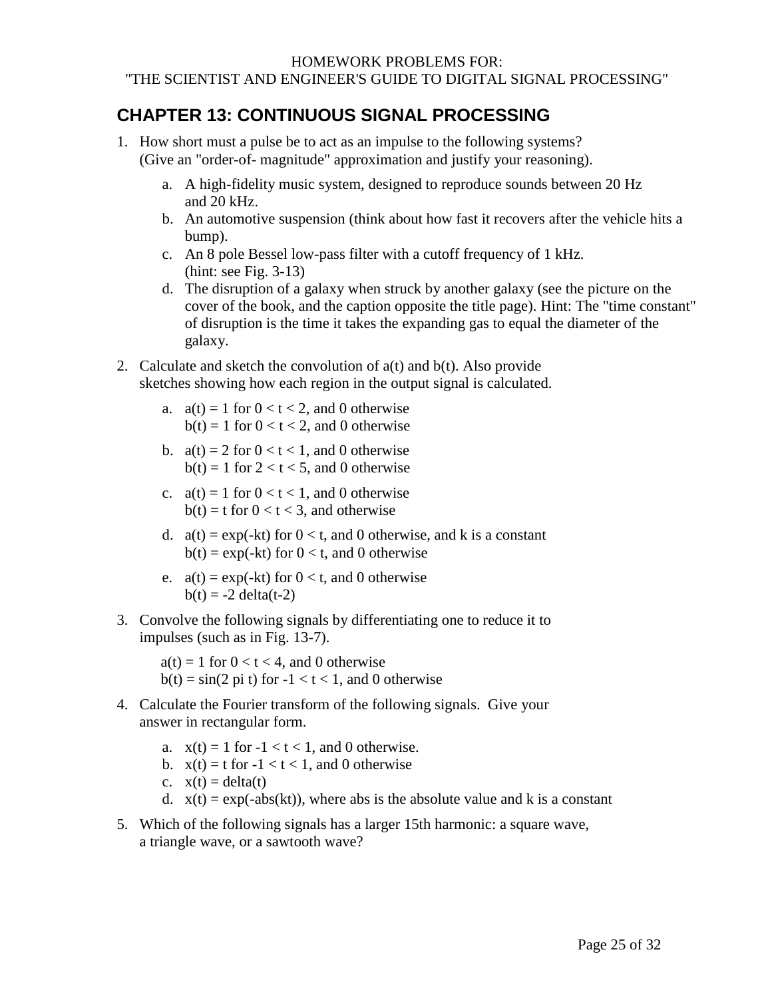## <span id="page-24-0"></span>**CHAPTER 13: CONTINUOUS SIGNAL PROCESSING**

- 1. How short must a pulse be to act as an impulse to the following systems? (Give an "order-of- magnitude" approximation and justify your reasoning).
	- a. A high-fidelity music system, designed to reproduce sounds between 20 Hz and 20 kHz.
	- b. An automotive suspension (think about how fast it recovers after the vehicle hits a bump).
	- c. An 8 pole Bessel low-pass filter with a cutoff frequency of 1 kHz. (hint: see Fig. 3-13)
	- d. The disruption of a galaxy when struck by another galaxy (see the picture on the cover of the book, and the caption opposite the title page). Hint: The "time constant" of disruption is the time it takes the expanding gas to equal the diameter of the galaxy.
- 2. Calculate and sketch the convolution of  $a(t)$  and  $b(t)$ . Also provide sketches showing how each region in the output signal is calculated.
	- a.  $a(t) = 1$  for  $0 < t < 2$ , and 0 otherwise  $b(t) = 1$  for  $0 < t < 2$ , and 0 otherwise
	- b.  $a(t) = 2$  for  $0 < t < 1$ , and 0 otherwise  $b(t) = 1$  for  $2 < t < 5$ , and 0 otherwise
	- c.  $a(t) = 1$  for  $0 < t < 1$ , and 0 otherwise  $b(t) = t$  for  $0 < t < 3$ , and otherwise
	- d.  $a(t) = \exp(-kt)$  for  $0 < t$ , and 0 otherwise, and k is a constant  $b(t) = exp(-kt)$  for  $0 < t$ , and 0 otherwise
	- e.  $a(t) = \exp(-kt)$  for  $0 < t$ , and 0 otherwise  $b(t) = -2$  delta(t-2)
- 3. Convolve the following signals by differentiating one to reduce it to impulses (such as in Fig. 13-7).

 $a(t) = 1$  for  $0 < t < 4$ , and 0 otherwise  $b(t) = \sin(2 \pi t)$  for  $-1 < t < 1$ , and 0 otherwise

- 4. Calculate the Fourier transform of the following signals. Give your answer in rectangular form.
	- a.  $x(t) = 1$  for  $-1 < t < 1$ , and 0 otherwise.
	- b.  $x(t) = t$  for  $-1 < t < 1$ , and 0 otherwise
	- c.  $x(t) = delta(t)$
	- d.  $x(t) = exp(-abs(kt))$ , where abs is the absolute value and k is a constant
- 5. Which of the following signals has a larger 15th harmonic: a square wave, a triangle wave, or a sawtooth wave?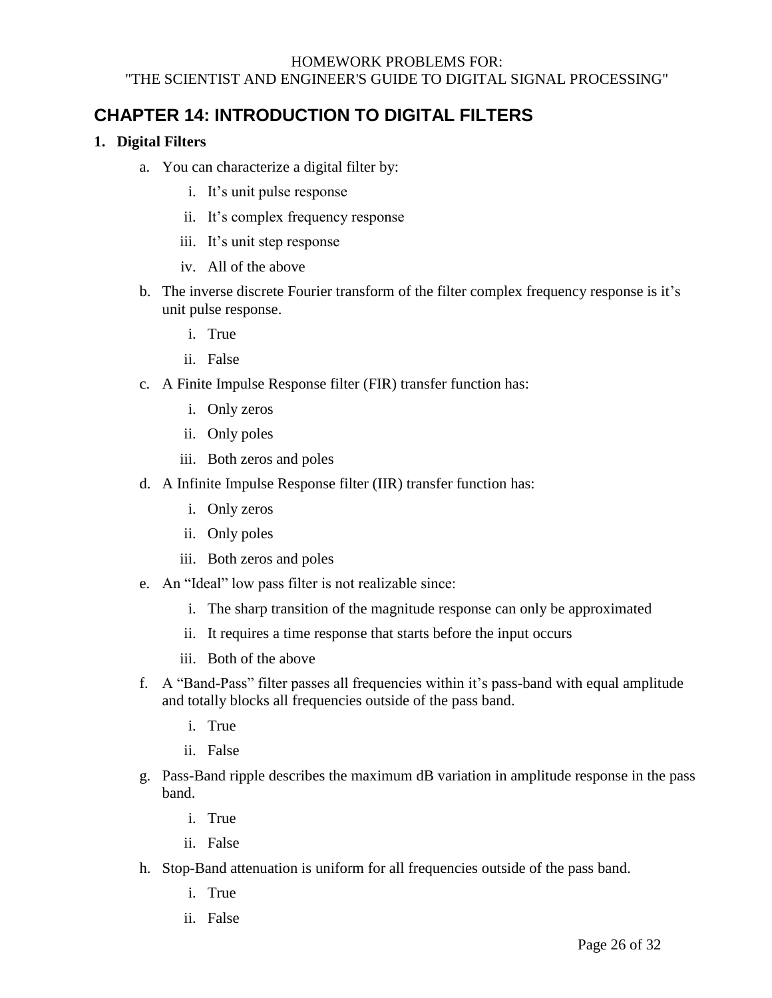## <span id="page-25-0"></span>**CHAPTER 14: INTRODUCTION TO DIGITAL FILTERS**

#### **1. Digital Filters**

- a. You can characterize a digital filter by:
	- i. It's unit pulse response
	- ii. It's complex frequency response
	- iii. It's unit step response
	- iv. All of the above
- b. The inverse discrete Fourier transform of the filter complex frequency response is it's unit pulse response.
	- i. True
	- ii. False
- c. A Finite Impulse Response filter (FIR) transfer function has:
	- i. Only zeros
	- ii. Only poles
	- iii. Both zeros and poles
- d. A Infinite Impulse Response filter (IIR) transfer function has:
	- i. Only zeros
	- ii. Only poles
	- iii. Both zeros and poles
- e. An "Ideal" low pass filter is not realizable since:
	- i. The sharp transition of the magnitude response can only be approximated
	- ii. It requires a time response that starts before the input occurs
	- iii. Both of the above
- f. A "Band-Pass" filter passes all frequencies within it's pass-band with equal amplitude and totally blocks all frequencies outside of the pass band.
	- i. True
	- ii. False
- g. Pass-Band ripple describes the maximum dB variation in amplitude response in the pass band.
	- i. True
	- ii. False
- h. Stop-Band attenuation is uniform for all frequencies outside of the pass band.
	- i. True
	- ii. False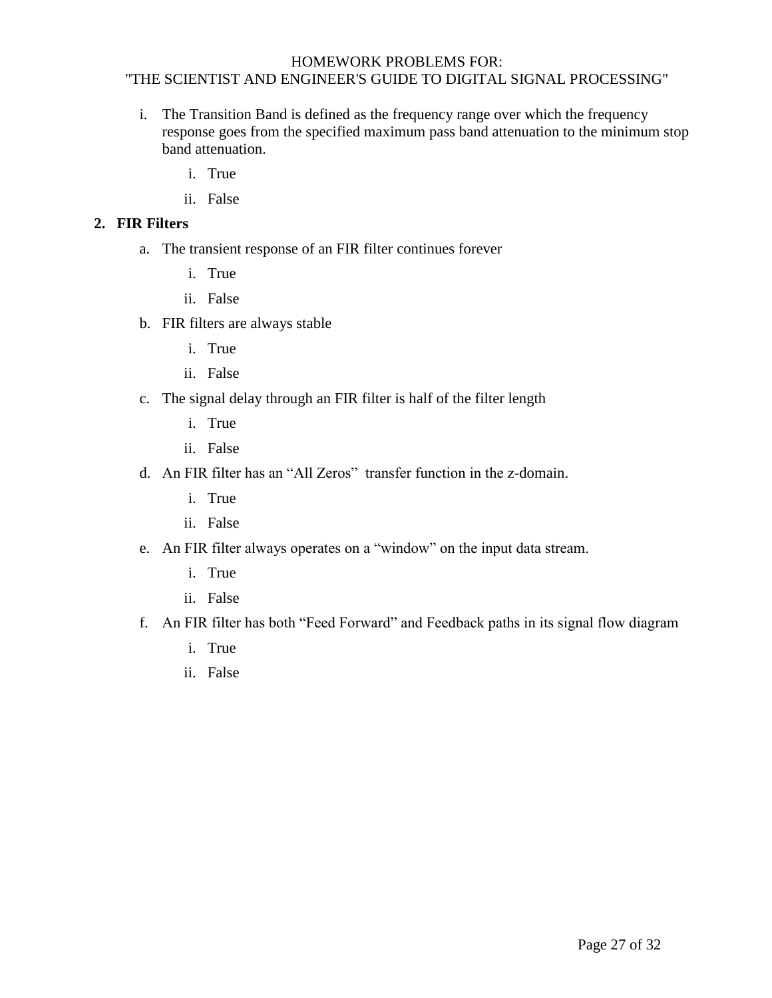- i. The Transition Band is defined as the frequency range over which the frequency response goes from the specified maximum pass band attenuation to the minimum stop band attenuation.
	- i. True
	- ii. False

#### **2. FIR Filters**

- a. The transient response of an FIR filter continues forever
	- i. True
	- ii. False
- b. FIR filters are always stable
	- i. True
	- ii. False
- c. The signal delay through an FIR filter is half of the filter length
	- i. True
	- ii. False
- d. An FIR filter has an "All Zeros" transfer function in the z-domain.
	- i. True
	- ii. False
- e. An FIR filter always operates on a "window" on the input data stream.
	- i. True
	- ii. False
- f. An FIR filter has both "Feed Forward" and Feedback paths in its signal flow diagram
	- i. True
	- ii. False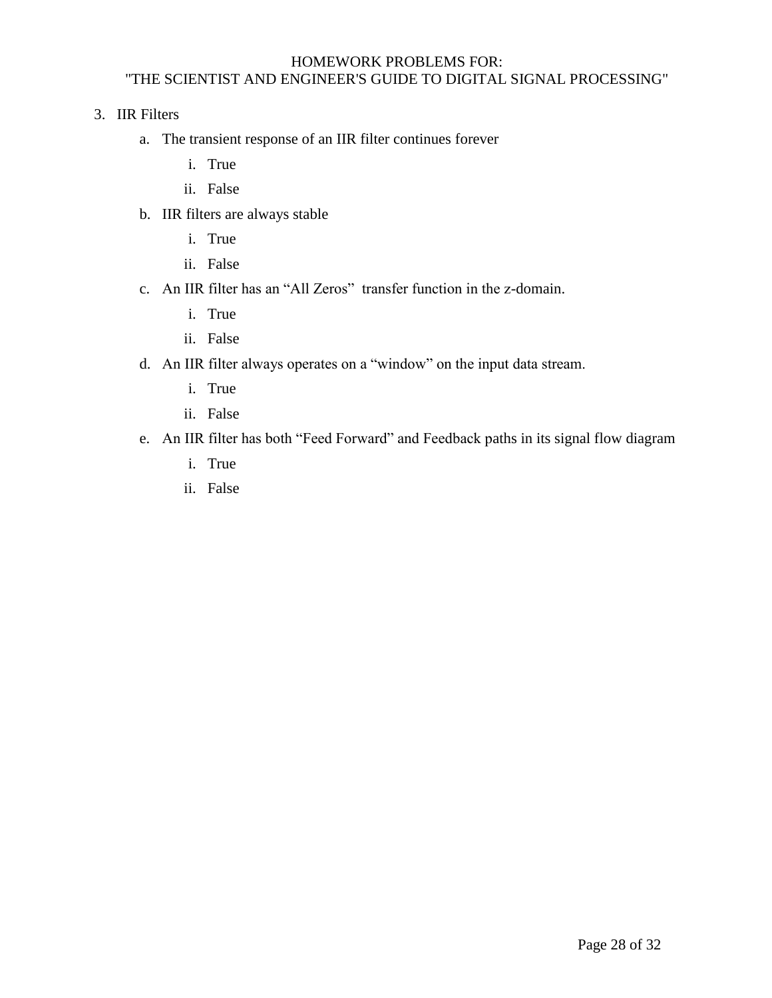3. IIR Filters

- a. The transient response of an IIR filter continues forever
	- i. True
	- ii. False
- b. IIR filters are always stable
	- i. True
	- ii. False
- c. An IIR filter has an "All Zeros" transfer function in the z-domain.
	- i. True
	- ii. False
- d. An IIR filter always operates on a "window" on the input data stream.
	- i. True
	- ii. False
- <span id="page-27-0"></span>e. An IIR filter has both "Feed Forward" and Feedback paths in its signal flow diagram
	- i. True
	- ii. False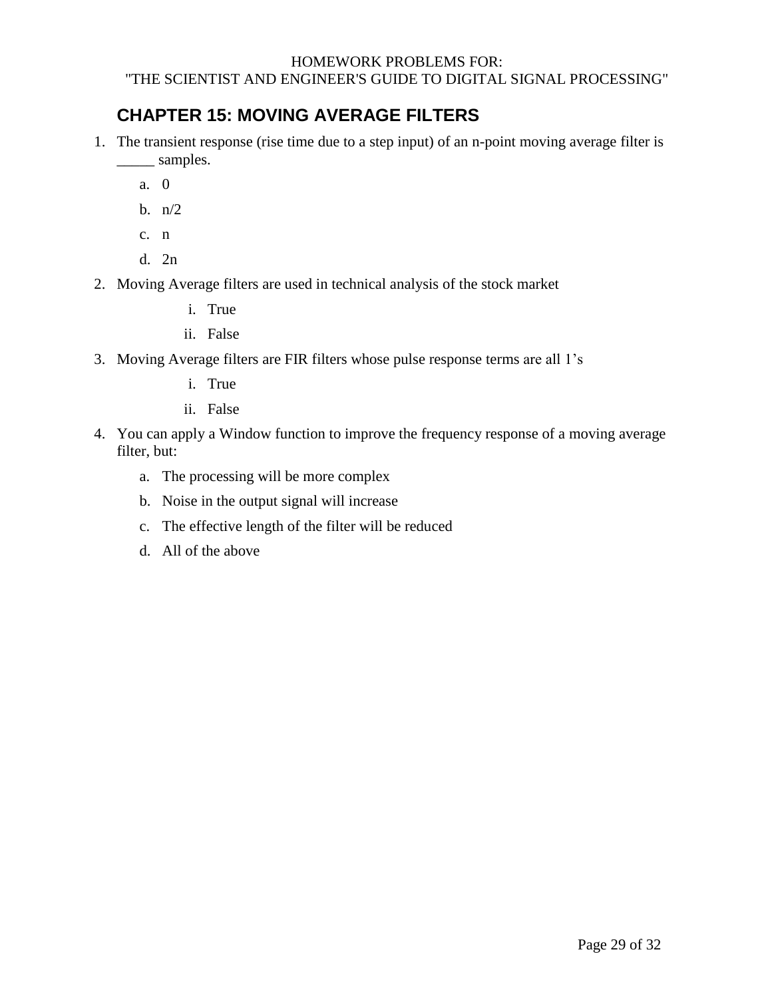## **CHAPTER 15: MOVING AVERAGE FILTERS**

- 1. The transient response (rise time due to a step input) of an n-point moving average filter is \_\_\_\_\_ samples.
	- a. 0
	- b. n/2
	- c. n
	- d. 2n
- 2. Moving Average filters are used in technical analysis of the stock market
	- i. True
	- ii. False
- 3. Moving Average filters are FIR filters whose pulse response terms are all 1's
	- i. True
	- ii. False
- <span id="page-28-0"></span>4. You can apply a Window function to improve the frequency response of a moving average filter, but:
	- a. The processing will be more complex
	- b. Noise in the output signal will increase
	- c. The effective length of the filter will be reduced
	- d. All of the above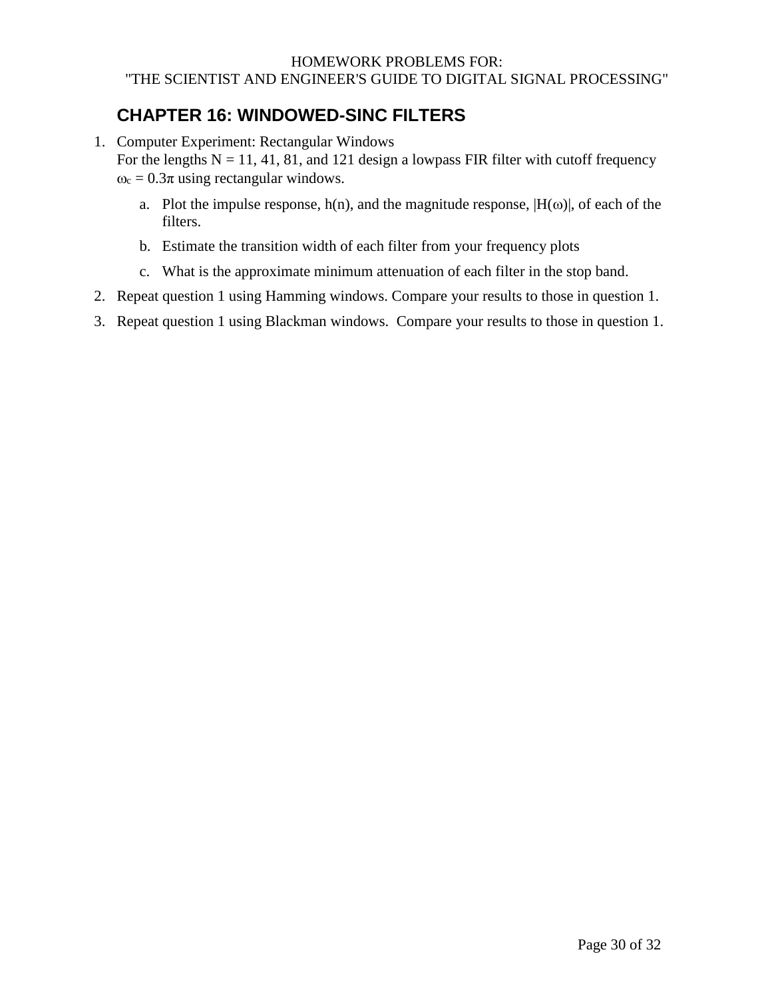## **CHAPTER 16: WINDOWED-SINC FILTERS**

1. Computer Experiment: Rectangular Windows

For the lengths  $N = 11, 41, 81$ , and 121 design a lowpass FIR filter with cutoff frequency  $\omega_c = 0.3\pi$  using rectangular windows.

- a. Plot the impulse response,  $h(n)$ , and the magnitude response,  $|H(\omega)|$ , of each of the filters.
- b. Estimate the transition width of each filter from your frequency plots
- c. What is the approximate minimum attenuation of each filter in the stop band.
- 2. Repeat question 1 using Hamming windows. Compare your results to those in question 1.
- <span id="page-29-0"></span>3. Repeat question 1 using Blackman windows. Compare your results to those in question 1.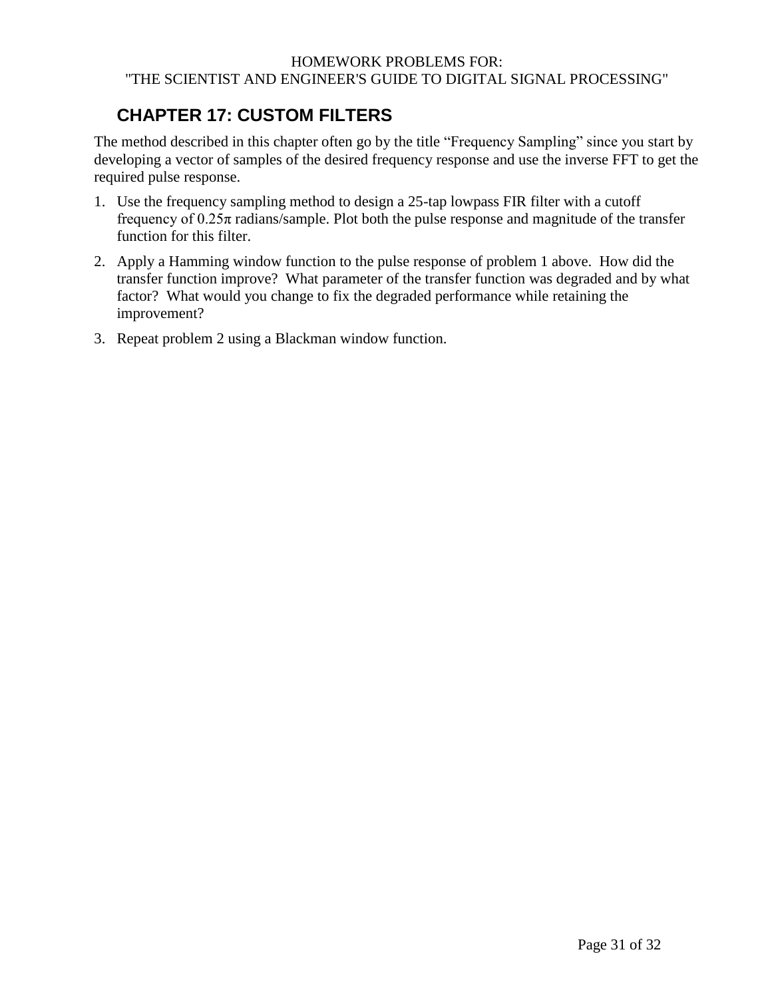# **CHAPTER 17: CUSTOM FILTERS**

The method described in this chapter often go by the title "Frequency Sampling" since you start by developing a vector of samples of the desired frequency response and use the inverse FFT to get the required pulse response.

- 1. Use the frequency sampling method to design a 25-tap lowpass FIR filter with a cutoff frequency of  $0.25\pi$  radians/sample. Plot both the pulse response and magnitude of the transfer function for this filter.
- 2. Apply a Hamming window function to the pulse response of problem 1 above. How did the transfer function improve? What parameter of the transfer function was degraded and by what factor? What would you change to fix the degraded performance while retaining the improvement?
- <span id="page-30-0"></span>3. Repeat problem 2 using a Blackman window function.